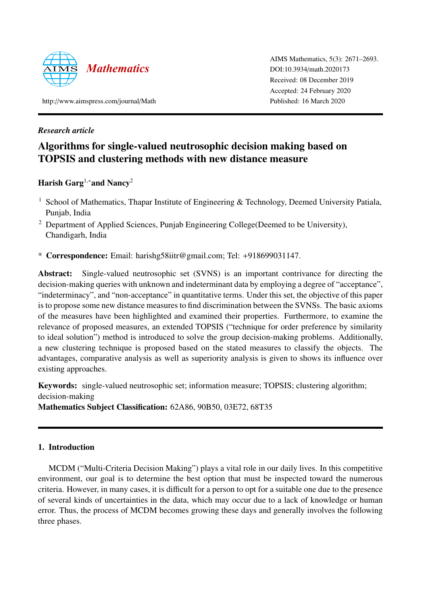

AIMS Mathematics, 5(3): 2671–2693. DOI:10.3934/[math.2020173](http://dx.doi.org/10.3934/math.2020173) Received: 08 December 2019 Accepted: 24 February 2020 Published: 16 March 2020

http://[www.aimspress.com](http://www.aimspress.com/journal/Math)/journal/Math

# *Research article*

# Algorithms for single-valued neutrosophic decision making based on TOPSIS and clustering methods with new distance measure

# Harish Garg<sup>1,∗</sup>and Nancy<sup>2</sup>

- <sup>1</sup> School of Mathematics, Thapar Institute of Engineering & Technology, Deemed University Patiala, Punjab, India
- <sup>2</sup> Department of Applied Sciences, Punjab Engineering College (Deemed to be University), Chandigarh, India
- \* Correspondence: Email: harishg58iitr@gmail.com; Tel: +918699031147.

Abstract: Single-valued neutrosophic set (SVNS) is an important contrivance for directing the decision-making queries with unknown and indeterminant data by employing a degree of "acceptance", "indeterminacy", and "non-acceptance" in quantitative terms. Under this set, the objective of this paper is to propose some new distance measures to find discrimination between the SVNSs. The basic axioms of the measures have been highlighted and examined their properties. Furthermore, to examine the relevance of proposed measures, an extended TOPSIS ("technique for order preference by similarity to ideal solution") method is introduced to solve the group decision-making problems. Additionally, a new clustering technique is proposed based on the stated measures to classify the objects. The advantages, comparative analysis as well as superiority analysis is given to shows its influence over existing approaches.

Keywords: single-valued neutrosophic set; information measure; TOPSIS; clustering algorithm; decision-making Mathematics Subject Classification: 62A86, 90B50, 03E72, 68T35

# 1. Introduction

MCDM ("Multi-Criteria Decision Making") plays a vital role in our daily lives. In this competitive environment, our goal is to determine the best option that must be inspected toward the numerous criteria. However, in many cases, it is difficult for a person to opt for a suitable one due to the presence of several kinds of uncertainties in the data, which may occur due to a lack of knowledge or human error. Thus, the process of MCDM becomes growing these days and generally involves the following three phases.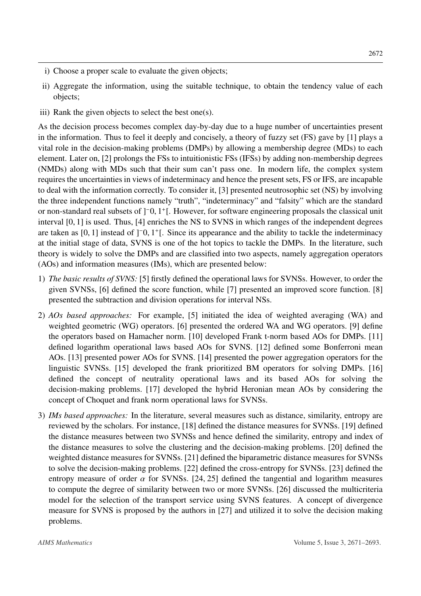- i) Choose a proper scale to evaluate the given objects;
- ii) Aggregate the information, using the suitable technique, to obtain the tendency value of each objects;
- iii) Rank the given objects to select the best one(s).

As the decision process becomes complex day-by-day due to a huge number of uncertainties present in the information. Thus to feel it deeply and concisely, a theory of fuzzy set (FS) gave by [\[1\]](#page-20-0) plays a vital role in the decision-making problems (DMPs) by allowing a membership degree (MDs) to each element. Later on, [\[2\]](#page-20-1) prolongs the FSs to intuitionistic FSs (IFSs) by adding non-membership degrees (NMDs) along with MDs such that their sum can't pass one. In modern life, the complex system requires the uncertainties in views of indeterminacy and hence the present sets, FS or IFS, are incapable to deal with the information correctly. To consider it, [\[3\]](#page-20-2) presented neutrosophic set (NS) by involving the three independent functions namely "truth", "indeterminacy" and "falsity" which are the standard or non-standard real subsets of ]<sup>−</sup>0, 1<sup>+</sup>[. However, for software engineering proposals the classical unit<br>interval [0, 1] is used. Thus, [4] enriches the NS to SVNS in which ranges of the independent degrees interval [0, 1] is used. Thus, [\[4\]](#page-20-3) enriches the NS to SVNS in which ranges of the independent degrees are taken as  $[0, 1]$  instead of  $]^{-0}$ ,  $1^{+}$ . Since its appearance and the ability to tackle the indeterminacy<br>at the initial stage of data. SVNS is one of the bot topics to tackle the DMPs. In the literature, such at the initial stage of data, SVNS is one of the hot topics to tackle the DMPs. In the literature, such theory is widely to solve the DMPs and are classified into two aspects, namely aggregation operators (AOs) and information measures (IMs), which are presented below:

- 1) *The basic results of SVNS:* [\[5\]](#page-20-4) firstly defined the operational laws for SVNSs. However, to order the given SVNSs, [\[6\]](#page-20-5) defined the score function, while [\[7\]](#page-20-6) presented an improved score function. [\[8\]](#page-20-7) presented the subtraction and division operations for interval NSs.
- 2) *AOs based approaches:* For example, [\[5\]](#page-20-4) initiated the idea of weighted averaging (WA) and weighted geometric (WG) operators. [\[6\]](#page-20-5) presented the ordered WA and WG operators. [\[9\]](#page-20-8) define the operators based on Hamacher norm. [\[10\]](#page-20-9) developed Frank t-norm based AOs for DMPs. [\[11\]](#page-20-10) defined logarithm operational laws based AOs for SVNS. [\[12\]](#page-20-11) defined some Bonferroni mean AOs. [\[13\]](#page-20-12) presented power AOs for SVNS. [\[14\]](#page-20-13) presented the power aggregation operators for the linguistic SVNSs. [\[15\]](#page-21-0) developed the frank prioritized BM operators for solving DMPs. [\[16\]](#page-21-1) defined the concept of neutrality operational laws and its based AOs for solving the decision-making problems. [\[17\]](#page-21-2) developed the hybrid Heronian mean AOs by considering the concept of Choquet and frank norm operational laws for SVNSs.
- 3) *IMs based approaches:* In the literature, several measures such as distance, similarity, entropy are reviewed by the scholars. For instance, [\[18\]](#page-21-3) defined the distance measures for SVNSs. [\[19\]](#page-21-4) defined the distance measures between two SVNSs and hence defined the similarity, entropy and index of the distance measures to solve the clustering and the decision-making problems. [\[20\]](#page-21-5) defined the weighted distance measures for SVNSs. [\[21\]](#page-21-6) defined the biparametric distance measures for SVNSs to solve the decision-making problems. [\[22\]](#page-21-7) defined the cross-entropy for SVNSs. [\[23\]](#page-21-8) defined the entropy measure of order  $\alpha$  for SVNSs. [\[24,](#page-21-9) [25\]](#page-21-10) defined the tangential and logarithm measures to compute the degree of similarity between two or more SVNSs. [\[26\]](#page-21-11) discussed the multicriteria model for the selection of the transport service using SVNS features. A concept of divergence measure for SVNS is proposed by the authors in [\[27\]](#page-21-12) and utilized it to solve the decision making problems.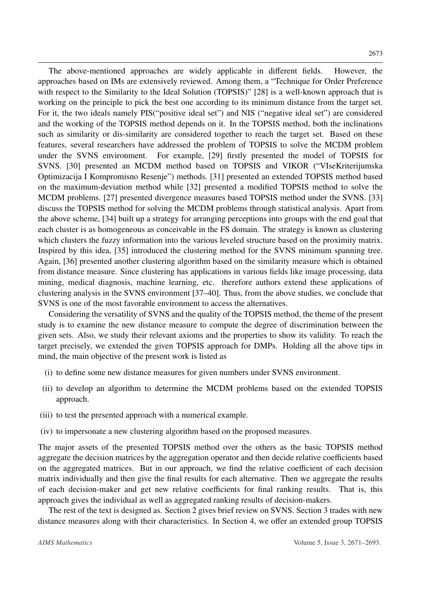The above-mentioned approaches are widely applicable in different fields. However, the approaches based on IMs are extensively reviewed. Among them, a "Technique for Order Preference with respect to the Similarity to the Ideal Solution (TOPSIS)" [\[28\]](#page-21-13) is a well-known approach that is working on the principle to pick the best one according to its minimum distance from the target set. For it, the two ideals namely PIS("positive ideal set") and NIS ("negative ideal set") are considered and the working of the TOPSIS method depends on it. In the TOPSIS method, both the inclinations such as similarity or dis-similarity are considered together to reach the target set. Based on these features, several researchers have addressed the problem of TOPSIS to solve the MCDM problem under the SVNS environment. For example, [\[29\]](#page-21-14) firstly presented the model of TOPSIS for SVNS. [\[30\]](#page-21-15) presented an MCDM method based on TOPSIS and VIKOR ("VIseKriterijumska Optimizacija I Kompromisno Resenje") methods. [\[31\]](#page-21-16) presented an extended TOPSIS method based on the maximum-deviation method while [\[32\]](#page-22-0) presented a modified TOPSIS method to solve the MCDM problems. [\[27\]](#page-21-12) presented divergence measures based TOPSIS method under the SVNS. [\[33\]](#page-22-1) discuss the TOPSIS method for solving the MCDM problems through statistical analysis. Apart from the above scheme, [\[34\]](#page-22-2) built up a strategy for arranging perceptions into groups with the end goal that each cluster is as homogeneous as conceivable in the FS domain. The strategy is known as clustering which clusters the fuzzy information into the various leveled structure based on the proximity matrix. Inspired by this idea, [\[35\]](#page-22-3) introduced the clustering method for the SVNS minimum spanning tree. Again, [\[36\]](#page-22-4) presented another clustering algorithm based on the similarity measure which is obtained from distance measure. Since clustering has applications in various fields like image processing, data mining, medical diagnosis, machine learning, etc. therefore authors extend these applications of clustering analysis in the SVNS environment [\[37–](#page-22-5)[40\]](#page-22-6). Thus, from the above studies, we conclude that SVNS is one of the most favorable environment to access the alternatives.

Considering the versatility of SVNS and the quality of the TOPSIS method, the theme of the present study is to examine the new distance measure to compute the degree of discrimination between the given sets. Also, we study their relevant axioms and the properties to show its validity. To reach the target precisely, we extended the given TOPSIS approach for DMPs. Holding all the above tips in mind, the main objective of the present work is listed as

- (i) to define some new distance measures for given numbers under SVNS environment.
- (ii) to develop an algorithm to determine the MCDM problems based on the extended TOPSIS approach.
- (iii) to test the presented approach with a numerical example.
- (iv) to impersonate a new clustering algorithm based on the proposed measures.

The major assets of the presented TOPSIS method over the others as the basic TOPSIS method aggregate the decision matrices by the aggregation operator and then decide relative coefficients based on the aggregated matrices. But in our approach, we find the relative coefficient of each decision matrix individually and then give the final results for each alternative. Then we aggregate the results of each decision-maker and get new relative coefficients for final ranking results. That is, this approach gives the individual as well as aggregated ranking results of decision-makers.

The rest of the text is designed as. Section [2](#page-3-0) gives brief review on SVNS. Section [3](#page-4-0) trades with new distance measures along with their characteristics. In Section [4,](#page-7-0) we offer an extended group TOPSIS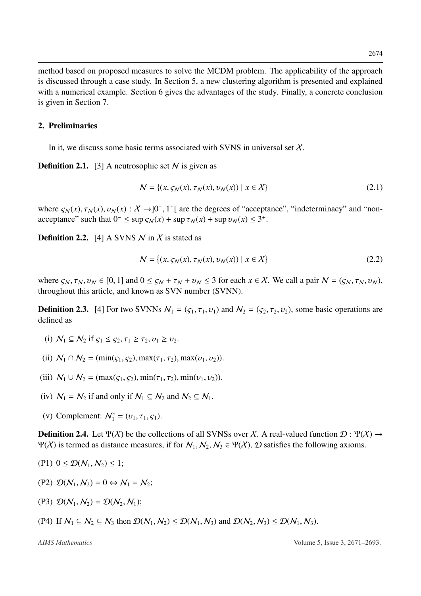method based on proposed measures to solve the MCDM problem. The applicability of the approach is discussed through a case study. In Section [5,](#page-14-0) a new clustering algorithm is presented and explained with a numerical example. Section [6](#page-18-0) gives the advantages of the study. Finally, a concrete conclusion is given in Section [7.](#page-19-0)

#### <span id="page-3-0"></span>2. Preliminaries

In it, we discuss some basic terms associated with SVNS in universal set  $X$ .

**Definition 2.1.** [\[3\]](#page-20-2) A neutrosophic set  $N$  is given as

$$
\mathcal{N} = \{ (x, \varsigma_N(x), \tau_N(x), \upsilon_N(x)) \mid x \in \mathcal{X} \}
$$
\n(2.1)

where  $\varsigma_N(x)$ ,  $\tau_N(x)$ ,  $v_N(x)$  :  $X \to ]0^-, 1^+]$  are the degrees of "acceptance", "indeterminacy" and "non-<br>acceptance" such that  $0^- \leq \sup_{\zeta \in \zeta}(x) + \sup_{\zeta \in \zeta}(x) + \sup_{\zeta \in \zeta}(x) \leq 3^+$ acceptance" such that  $0^- \le \sup s_N(x) + \sup \tau_N(x) + \sup v_N(x) \le 3^+$ .

**Definition 2.2.** [\[4\]](#page-20-3) A SVNS N in X is stated as

$$
\mathcal{N} = \{ (x, \varsigma_N(x), \tau_N(x), \upsilon_N(x)) \mid x \in \mathcal{X} \}
$$
\n
$$
(2.2)
$$

where  $\zeta_N, \tau_N, \nu_N \in [0, 1]$  and  $0 \leq \zeta_N + \tau_N + \nu_N \leq 3$  for each  $x \in \mathcal{X}$ . We call a pair  $\mathcal{N} = (\zeta_N, \tau_N, \nu_N)$ , throughout this article, and known as SVN number (SVNN).

**Definition 2.3.** [\[4\]](#page-20-3) For two SVNNs  $N_1 = (c_1, \tau_1, \nu_1)$  and  $N_2 = (c_2, \tau_2, \nu_2)$ , some basic operations are defined as

- (i)  $\mathcal{N}_1 \subseteq \mathcal{N}_2$  if  $\varsigma_1 \leq \varsigma_2$ ,  $\tau_1 \geq \tau_2$ ,  $v_1 \geq v_2$ .
- (ii)  $N_1 \cap N_2 = (\min(c_1, c_2), \max(\tau_1, \tau_2), \max(v_1, v_2)).$
- (iii)  $N_1 \cup N_2 = (\max(c_1, c_2), \min(\tau_1, \tau_2), \min(v_1, v_2)).$
- (iv)  $N_1 = N_2$  if and only if  $N_1 \subseteq N_2$  and  $N_2 \subseteq N_1$ .
- (v) Complement:  $N_1^c = (v_1, \tau_1, \varsigma_1)$ .

<span id="page-3-1"></span>**Definition 2.4.** Let  $\Psi(\chi)$  be the collections of all SVNSs over X. A real-valued function  $\mathcal{D}: \Psi(\chi) \to$  $Ψ(X)$  is termed as distance measures, if for  $N_1, N_2, N_3 \in Ψ(X)$ ,  $\mathcal D$  satisfies the following axioms.

$$
(P1) \ \ 0 \leq \mathcal{D}(\mathcal{N}_1, \mathcal{N}_2) \leq 1;
$$

- (P2)  $\mathcal{D}(N_1, N_2) = 0 \Leftrightarrow N_1 = N_2$ ;
- (P3)  $\mathcal{D}(N_1, N_2) = \mathcal{D}(N_2, N_1)$ ;
- (P4) If  $N_1 \subseteq N_2 \subseteq N_3$  then  $\mathcal{D}(N_1, N_2) \leq \mathcal{D}(N_1, N_3)$  and  $\mathcal{D}(N_2, N_3) \leq \mathcal{D}(N_1, N_3)$ .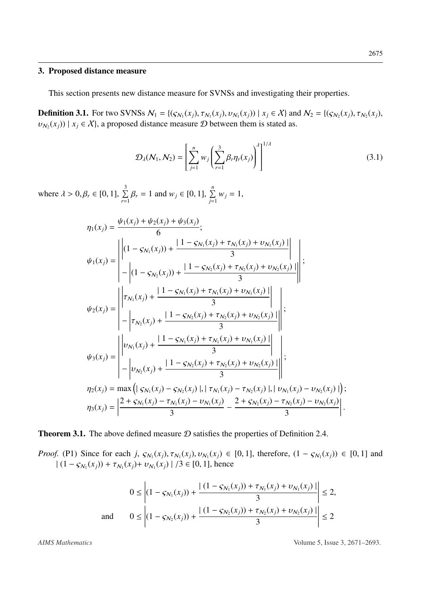#### <span id="page-4-0"></span>3. Proposed distance measure

This section presents new distance measure for SVNSs and investigating their properties.

**Definition 3.1.** For two SVNSs  $\mathcal{N}_1 = \{(\mathcal{S}_{\mathcal{N}_1}(x_j), \tau_{\mathcal{N}_1}(x_j), \nu_{\mathcal{N}_1}(x_j)) | x_j \in \mathcal{X}\}\$ and  $\mathcal{N}_2 = \{(\mathcal{S}_{\mathcal{N}_2}(x_j), \tau_{\mathcal{N}_2}(x_j), \nu_{\mathcal{N}_2}(x_j), \nu_{\mathcal{N}_1}(x_j)\}|\mathcal{X}_{\mathcal{N}_2}(x_j)\}$  $v_{N_2}(x_j)$  |  $x_j \in X$ }, a proposed distance measure  $D$  between them is stated as.

<span id="page-4-1"></span>
$$
\mathcal{D}_{\lambda}(\mathcal{N}_1, \mathcal{N}_2) = \left[ \sum_{j=1}^n w_j \left( \sum_{r=1}^3 \beta_r \eta_r(x_j) \right)^{\lambda} \right]^{1/\lambda}
$$
(3.1)

where  $\lambda > 0, \beta_r \in [0, 1], \sum_{r=1}^{3}$  $\sum_{r=1}^{3} \beta_r = 1$  and  $w_j \in [0, 1]$ ,  $\sum_{j=1}^{n} w_j = 1$ ,

$$
\eta_{1}(x_{j}) = \frac{\psi_{1}(x_{j}) + \psi_{2}(x_{j}) + \psi_{3}(x_{j})}{6};
$$
\n
$$
\psi_{1}(x_{j}) = \begin{vmatrix}\n(1 - S_{N_{1}}(x_{j})) + \frac{11 - S_{N_{1}}(x_{j}) + \tau_{N_{1}}(x_{j}) + \nu_{N_{1}}(x_{j}) \\
- \left| (1 - S_{N_{2}}(x_{j})) + \frac{11 - S_{N_{2}}(x_{j}) + \tau_{N_{2}}(x_{j}) + \nu_{N_{2}}(x_{j})}{3} \right| \\
+ \frac{11 - S_{N_{1}}(x_{j}) + \frac{11 - S_{N_{1}}(x_{j}) + \tau_{N_{1}}(x_{j}) + \nu_{N_{1}}(x_{j})}{3}\n\end{vmatrix} ;
$$
\n
$$
\psi_{2}(x_{j}) = \begin{vmatrix}\n\tau_{N_{1}}(x_{j}) + \frac{11 - S_{N_{2}}(x_{j}) + \tau_{N_{2}}(x_{j}) + \nu_{N_{2}}(x_{j})}{3}\n\end{vmatrix} ;
$$
\n
$$
\psi_{3}(x_{j}) = \begin{vmatrix}\n\nu_{N_{1}}(x_{j}) + \frac{11 - S_{N_{1}}(x_{j}) + \tau_{N_{1}}(x_{j}) + \nu_{N_{1}}(x_{j})}{3}\n\end{vmatrix} ;
$$
\n
$$
\eta_{2}(x_{j}) = \max \left( \frac{\nu_{N_{1}}(x_{j}) + \frac{11 - S_{N_{2}}(x_{j}) + \tau_{N_{2}}(x_{j}) + \nu_{N_{2}}(x_{j})}{3} \right|, |\tau_{N_{1}}(x_{j}) - \tau_{N_{2}}(x_{j})|, |\nu_{N_{1}}(x_{j}) - \nu_{N_{2}}(x_{j})| \right);
$$
\n
$$
\eta_{3}(x_{j}) = \frac{2 + S_{N_{1}}(x_{j}) - \tau_{N_{1}}(x_{j}) - \nu_{N_{1}}(x_{j})}{3} - \frac{2 + S_{N_{2}}(x_{j}) - \tau_{N_{2}}(x_{j}) - \nu_{N_{2}}(x_{j})}{3} \end{vmatrix} .
$$

**Theorem 3.1.** The above defined measure  $D$  satisfies the properties of Definition [2.4.](#page-3-1)

*Proof.* (P1) Since for each *j*,  $S_{N_1}(x_j)$ ,  $\tau_{N_1}(x_j)$ ,  $v_{N_1}(x_j) \in [0, 1]$ , therefore,  $(1 - S_{N_1}(x_j)) \in [0, 1]$  and  $(1 - S_{N_1}(x_j) + \tau_{N_1}(x_j) + \tau_{N_1}(x_j) + (3 \in [0, 1])$  hence  $|(1 - \varsigma_{N_1}(x_j)) + \tau_{N_1}(x_j) + \upsilon_{N_1}(x_j)|/3 \in [0, 1]$ , hence

$$
0 \leq \left| (1 - s_{N_1}(x_j)) + \frac{|(1 - s_{N_1}(x_j)) + \tau_{N_1}(x_j) + \nu_{N_1}(x_j)|}{3} \right| \leq 2,
$$
  
and 
$$
0 \leq \left| (1 - s_{N_2}(x_j)) + \frac{|(1 - s_{N_2}(x_j)) + \tau_{N_2}(x_j) + \nu_{N_2}(x_j)|}{3} \right| \leq 2
$$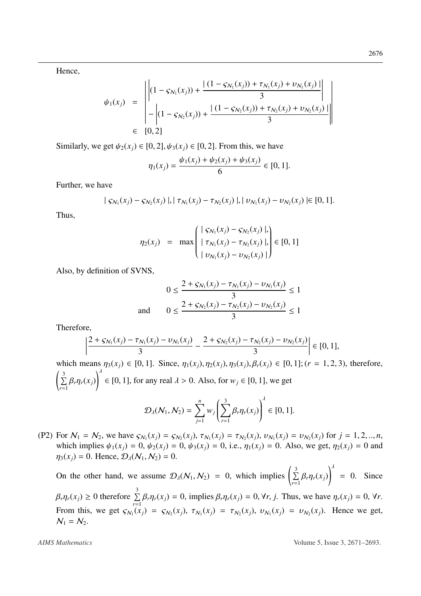Hence,

$$
\psi_1(x_j) = \begin{vmatrix} \left| (1 - s_{N_1}(x_j)) + \frac{|(1 - s_{N_1}(x_j)) + \tau_{N_1}(x_j) + \nu_{N_1}(x_j)|}{3} \right| \\ - \left| (1 - s_{N_2}(x_j)) + \frac{|(1 - s_{N_2}(x_j)) + \tau_{N_2}(x_j) + \nu_{N_2}(x_j)|}{3} \right| \\ \in [0, 2]
$$

Similarly, we get  $\psi_2(x_i) \in [0, 2]$ ,  $\psi_3(x_i) \in [0, 2]$ . From this, we have

$$
\eta_1(x_j) = \frac{\psi_1(x_j) + \psi_2(x_j) + \psi_3(x_j)}{6} \in [0, 1].
$$

Further, we have

$$
|S_{\mathcal{N}_1}(x_j) - S_{\mathcal{N}_2}(x_j)|, |\tau_{\mathcal{N}_1}(x_j) - \tau_{\mathcal{N}_2}(x_j)|, |\nu_{\mathcal{N}_1}(x_j) - \nu_{\mathcal{N}_2}(x_j)| \in [0, 1].
$$

Thus,

$$
\eta_2(x_j) = \max \begin{pmatrix} | \varsigma_{N_1}(x_j) - \varsigma_{N_2}(x_j) |, \\ | \tau_{N_1}(x_j) - \tau_{N_2}(x_j) |, \\ | \upsilon_{N_1}(x_j) - \upsilon_{N_2}(x_j) | \end{pmatrix} \in [0, 1]
$$

Also, by definition of SVNS,

$$
0 \le \frac{2 + s_{N_1}(x_j) - \tau_{N_1}(x_j) - \nu_{N_1}(x_j)}{3} \le 1
$$
  
and 
$$
0 \le \frac{2 + s_{N_2}(x_j) - \tau_{N_2}(x_j) - \nu_{N_2}(x_j)}{3} \le 1
$$

Therefore,

$$
\left|\frac{2+\varsigma_{N_1}(x_j)-\tau_{N_1}(x_j)-\upsilon_{N_1}(x_j)}{3}-\frac{2+\varsigma_{N_2}(x_j)-\tau_{N_2}(x_j)-\upsilon_{N_2}(x_j)}{3}\right|\in[0,1],
$$

which means  $\eta_3(x_i) \in [0, 1]$ . Since,  $\eta_1(x_i), \eta_2(x_i), \eta_3(x_i), \beta_r(x_i) \in [0, 1]$ ; (*r* = 1, 2, 3), therefore, ĺ  $\sum_{i=1}^{3}$ *r*=1 β*<sup>r</sup>*η*<sup>r</sup>*(*xj*)  $\setminus^{\prime}$  $∈ [0, 1]$ , for any real  $λ > 0$ . Also, for  $w_j ∈ [0, 1]$ , we get

$$
\mathcal{D}_{\lambda}(\mathcal{N}_1, \mathcal{N}_2) = \sum_{j=1}^n w_j \left( \sum_{r=1}^3 \beta_r \eta_r(x_j) \right)^{\lambda} \in [0, 1].
$$

(P2) For  $N_1 = N_2$ , we have  $\varsigma_{N_1}(x_j) = \varsigma_{N_2}(x_j)$ ,  $\tau_{N_1}(x_j) = \tau_{N_2}(x_j)$ ,  $v_{N_1}(x_j) = v_{N_2}(x_j)$  for  $j = 1, 2, ..., n$ , which implies  $y_{k_1}(x_j) = 0$ ,  $y_{k_2}(x_j) = 0$ , i.e.,  $y_{k_1}(x_j) = 0$ , Also, we get  $y_{k_2}(x_j) = 0$  and which implies  $\psi_1(x_i) = 0$ ,  $\psi_2(x_i) = 0$ ,  $\psi_3(x_i) = 0$ , i.e.,  $\eta_1(x_i) = 0$ . Also, we get,  $\eta_2(x_i) = 0$  and  $\eta_3(x_i) = 0$ . Hence,  $\mathcal{D}_\lambda(N_1, N_2) = 0$ .

On the other hand, we assume  $\mathcal{D}_{\lambda}(N_1, N_2) = 0$ , which implies  $\left($  $\sum_{ }^{3}$ *r*=1 β*<sup>r</sup>*η*<sup>r</sup>*(*xj*)  $\setminus^{\prime}$  $= 0$ . Since  $\beta_r \eta_r(x_j) \ge 0$  therefore  $\sum_{r=1}^3$  $\sum_{r=1}$   $\beta_r \eta_r(x_j) = 0$ , implies  $\beta_r \eta_r(x_j) = 0$ ,  $\forall r, j$ . Thus, we have  $\eta_r(x_j) = 0$ ,  $\forall r$ . From this, we get  $\varsigma_{N_1}(x_j) = \varsigma_{N_2}(x_j)$ ,  $\tau_{N_1}(x_j) = \tau_{N_2}(x_j)$ ,  $v_{N_1}(x_j) = v_{N_2}(x_j)$ . Hence we get,  $N_1 - N_2$  $N_1 = N_2$ .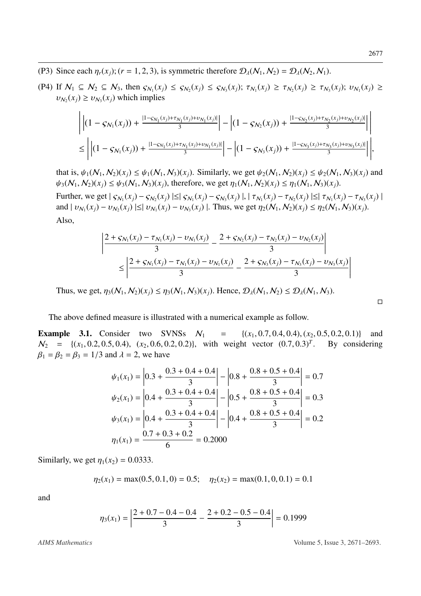- (P3) Since each  $\eta_r(x_i)$ ; ( $r = 1, 2, 3$ ), is symmetric therefore  $\mathcal{D}_\lambda(\mathcal{N}_1, \mathcal{N}_2) = \mathcal{D}_\lambda(\mathcal{N}_2, \mathcal{N}_1)$ .
- (P4) If  $\mathcal{N}_1 \subseteq \mathcal{N}_2 \subseteq \mathcal{N}_3$ , then  $\varsigma_{\mathcal{N}_1}(x_j) \leq \varsigma_{\mathcal{N}_2}(x_j) \leq \varsigma_{\mathcal{N}_3}(x_j)$ ;  $\tau_{\mathcal{N}_1}(x_j) \geq \tau_{\mathcal{N}_2}(x_j) \geq \tau_{\mathcal{N}_3}(x_j)$ ;  $v_{\mathcal{N}_1}(x_j) \geq$  $v_{N_2}(x_j) \ge v_{N_3}(x_j)$  which implies

$$
\left| \left| (1 - S_{\mathcal{N}_1}(x_j)) + \frac{|1 - S_{\mathcal{N}_1}(x_j) + \tau_{\mathcal{N}_1}(x_j)| + \nu_{\mathcal{N}_1}(x_j)|}{3} \right| - \left| (1 - S_{\mathcal{N}_2}(x_j)) + \frac{|1 - S_{\mathcal{N}_2}(x_j) + \tau_{\mathcal{N}_2}(x_j)| + \nu_{\mathcal{N}_2}(x_j)|}{3} \right| \right|
$$
  
\n
$$
\leq \left| \left| (1 - S_{\mathcal{N}_1}(x_j)) + \frac{|1 - S_{\mathcal{N}_1}(x_j) + \tau_{\mathcal{N}_1}(x_j)| + \nu_{\mathcal{N}_1}(x_j)|}{3} \right| - \left| (1 - S_{\mathcal{N}_3}(x_j)) + \frac{|1 - S_{\mathcal{N}_3}(x_j) + \tau_{\mathcal{N}_3}(x_j)| + \nu_{\mathcal{N}_3}(x_j)|}{3} \right| \right|,
$$

that is,  $\psi_1(N_1, N_2)(x_i) \leq \psi_1(N_1, N_3)(x_i)$ . Similarly, we get  $\psi_2(N_1, N_2)(x_i) \leq \psi_2(N_1, N_3)(x_i)$  and  $\psi_3(N_1, N_2)(x_i) \leq \psi_3(N_1, N_3)(x_i)$ , therefore, we get  $\eta_1(N_1, N_2)(x_i) \leq \eta_1(N_1, N_3)(x_i)$ .

Further, we get  $|S_{N_1}(x_j) - S_{N_2}(x_j)| \le |S_{N_1}(x_j) - S_{N_3}(x_j)|$ ,  $|\tau_{N_1}(x_j) - \tau_{N_2}(x_j)| \le |\tau_{N_1}(x_j) - \tau_{N_3}(x_j)|$ <br>and  $|x_{N_1}(x_j) - x_{N_2}(x_j)| \le |x_{N_1}(x_j) - x_{N_2}(x_j)|$ . Thus, we get  $n_1(N_1, N_2)(x_j) \le n_1(N_1, N_2)(x_j)$ and  $| \nu_{N_1}(x_j) - \nu_{N_2}(x_j) | \le | \nu_{N_1}(x_j) - \nu_{N_3}(x_j) |$ . Thus, we get  $\eta_2(N_1, N_2)(x_j) \le \eta_2(N_1, N_3)(x_j)$ . Also,

$$
\left| \frac{2 + s_{N_1}(x_j) - \tau_{N_1}(x_j) - \nu_{N_1}(x_j)}{3} - \frac{2 + s_{N_2}(x_j) - \tau_{N_2}(x_j) - \nu_{N_2}(x_j)}{3} \right|
$$
  
 
$$
\leq \left| \frac{2 + s_{N_1}(x_j) - \tau_{N_1}(x_j) - \nu_{N_1}(x_j)}{3} - \frac{2 + s_{N_3}(x_j) - \tau_{N_3}(x_j) - \nu_{N_3}(x_j)}{3} \right|
$$

Thus, we get,  $\eta_3(N_1, N_2)(x_i) \leq \eta_3(N_1, N_3)(x_i)$ . Hence,  $\mathcal{D}_{\lambda}(N_1, N_2) \leq \mathcal{D}_{\lambda}(N_1, N_3)$ .

The above defined measure is illustrated with a numerical example as follow.

**Example 3.1.** Consider two SVNSs  $N_1 = \{(x_1, 0.7, 0.4, 0.4), (x_2, 0.5, 0.2, 0.1)\}$  and  $N_1 = \{(x_1, 0.7, 0.4, 0.4), (x_2, 0.5, 0.2, 0.1)\}$  and  $N_2 = \{(x_1, 0.7, 0.4, 0.4), (x_2, 0.5, 0.2, 0.1)\}$  $N_2 = \{(x_1, 0.2, 0.5, 0.4), (x_2, 0.6, 0.2, 0.2)\}\$ , with weight vector  $(0.7, 0.3)^T$ . By considering  $\beta_1 = \beta_2 = \beta_3 = 1/3$  and  $\lambda = 2$  we have  $\beta_1 = \beta_2 = \beta_3 = 1/3$  and  $\lambda = 2$ , we have

$$
\psi_1(x_1) = \left| 0.3 + \frac{0.3 + 0.4 + 0.4}{3} \right| - \left| 0.8 + \frac{0.8 + 0.5 + 0.4}{3} \right| = 0.7
$$
  

$$
\psi_2(x_1) = \left| 0.4 + \frac{0.3 + 0.4 + 0.4}{3} \right| - \left| 0.5 + \frac{0.8 + 0.5 + 0.4}{3} \right| = 0.3
$$
  

$$
\psi_3(x_1) = \left| 0.4 + \frac{0.3 + 0.4 + 0.4}{3} \right| - \left| 0.4 + \frac{0.8 + 0.5 + 0.4}{3} \right| = 0.2
$$
  

$$
\eta_1(x_1) = \frac{0.7 + 0.3 + 0.2}{6} = 0.2000
$$

Similarly, we get  $\eta_1(x_2) = 0.0333$ .

$$
\eta_2(x_1) = \max(0.5, 0.1, 0) = 0.5; \quad \eta_2(x_2) = \max(0.1, 0, 0.1) = 0.1
$$

and

$$
\eta_3(x_1) = \left| \frac{2 + 0.7 - 0.4 - 0.4}{3} - \frac{2 + 0.2 - 0.5 - 0.4}{3} \right| = 0.1999
$$

$$
\Box
$$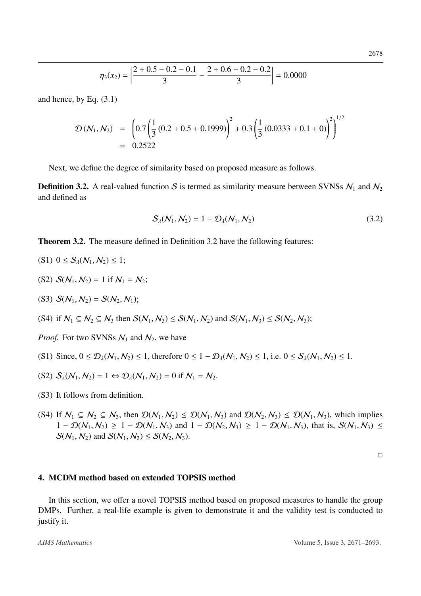$$
\eta_3(x_2) = \left| \frac{2 + 0.5 - 0.2 - 0.1}{3} - \frac{2 + 0.6 - 0.2 - 0.2}{3} \right| = 0.0000
$$

and hence, by Eq. [\(3.1\)](#page-4-1)

$$
\mathcal{D}(\mathcal{N}_1, \mathcal{N}_2) = \left(0.7\left(\frac{1}{3}(0.2 + 0.5 + 0.1999)\right)^2 + 0.3\left(\frac{1}{3}(0.0333 + 0.1 + 0)\right)^2\right)^{1/2}
$$
  
= 0.2522

Next, we define the degree of similarity based on proposed measure as follows.

<span id="page-7-1"></span>**Definition 3.2.** A real-valued function S is termed as similarity measure between SVNSs  $N_1$  and  $N_2$ and defined as

<span id="page-7-2"></span>
$$
S_{\lambda}(N_1, N_2) = 1 - \mathcal{D}_{\lambda}(N_1, N_2)
$$
 (3.2)

Theorem 3.2. The measure defined in Definition [3.2](#page-7-1) have the following features:

- (S1)  $0 \le S_{\lambda}(N_1, N_2) \le 1$ ;
- (S2)  $S(N_1, N_2) = 1$  if  $N_1 = N_2$ ;
- (S3)  $S(N_1, N_2) = S(N_2, N_1);$
- (S4) if  $N_1 \subseteq N_2 \subseteq N_3$  then  $S(N_1, N_3) \leq S(N_1, N_2)$  and  $S(N_1, N_3) \leq S(N_2, N_3)$ ;

*Proof.* For two SVNSs  $N_1$  and  $N_2$ , we have

- (S1) Since,  $0 \le D_{\lambda}(N_1, N_2) \le 1$ , therefore  $0 \le 1 D_{\lambda}(N_1, N_2) \le 1$ , i.e.  $0 \le S_{\lambda}(N_1, N_2) \le 1$ .
- (S2)  $S_{\lambda}(N_1, N_2) = 1 \Leftrightarrow \mathcal{D}_{\lambda}(N_1, N_2) = 0$  if  $N_1 = N_2$ .
- (S3) It follows from definition.
- (S4) If  $N_1 \subseteq N_2 \subseteq N_3$ , then  $\mathcal{D}(N_1, N_2) \leq \mathcal{D}(N_1, N_3)$  and  $\mathcal{D}(N_2, N_3) \leq \mathcal{D}(N_1, N_3)$ , which implies  $1 - \mathcal{D}(N_1, N_2) \geq 1 - \mathcal{D}(N_1, N_3)$  and  $1 - \mathcal{D}(N_2, N_3) \geq 1 - \mathcal{D}(N_1, N_3)$ , that is,  $\mathcal{S}(N_1, N_3) \leq$  $S(N_1, N_2)$  and  $S(N_1, N_3) \le S(N_2, N_3)$ .

### <span id="page-7-0"></span>4. MCDM method based on extended TOPSIS method

In this section, we offer a novel TOPSIS method based on proposed measures to handle the group DMPs. Further, a real-life example is given to demonstrate it and the validity test is conducted to justify it.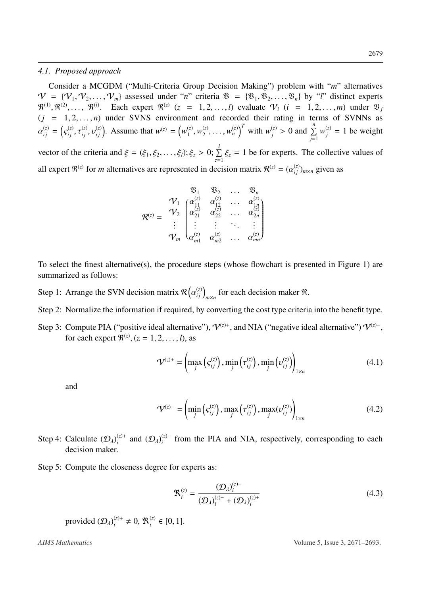#### *4.1. Proposed approach*

Consider a MCGDM ("Multi-Criteria Group Decision Making") problem with "*m*" alternatives  $V = \{V_1, V_2, \ldots, V_m\}$  assessed under "*n*" criteria  $\mathfrak{B} = \{\mathfrak{B}_1, \mathfrak{B}_2, \ldots, \mathfrak{B}_n\}$  by "*l*" distinct experts  $\mathbb{R}^{(1)}, \mathbb{R}^{(2)}, \ldots, \mathbb{R}^{(l)}$ . Each expert  $\mathbb{R}^{(z)}$  (*z* = 1, 2, ..., *l*) evaluate  $\mathcal{V}_i$  (*i* = 1, 2, ..., *m*) under  $\mathbb{R}_j$ <br>(*i* = 1.2 ..., *n*) under SVNS environment and recorded their rating in term  $(j = 1, 2, \ldots, n)$  under SVNS environment and recorded their rating in terms of SVNNs as  $\binom{z}{i j} = \binom{z}{j}$ ς (*z*) *ij* ,  $\cdot$ (*z*)  $_{ij}$ ,  $\circ$  $\binom{z}{i j}$ . Assume that  $w^{(z)} = \left(w_1^{(z)}\right)^2$  $\frac{d}{dx}$ ,  $w_2^{(z)}$  $\left[\begin{array}{c} (z), \ldots, (w_n^{(z)})^T \end{array}\right]$  with  $w_j^{(z)} > 0$  and  $\sum_{j=1}^n$  $w_j^{(z)} = 1$  be weight vector of the criteria and  $\xi = (\xi_1, \xi_2, \dots, \xi_l); \xi_z > 0; \sum_{z=1}^l$  $\sum_{z=1} \xi_z = 1$  be for experts. The collective values of all expert  $\mathfrak{R}^{(z)}$  for *m* alternatives are represented in decision matrix  $\mathcal{R}^{(z)} = (\alpha_{ij}^{(z)})_{m \times n}$  given as

$$
\mathcal{R}^{(z)} = \begin{array}{ccccc} & & \mathfrak{B}_1 & \mathfrak{B}_2 & \dots & \mathfrak{B}_n \\ \mathcal{V}_1 & \begin{pmatrix} \alpha_{11}^{(z)} & \alpha_{12}^{(z)} & \dots & \alpha_{1n}^{(z)} \\ \alpha_{21}^{(z)} & \alpha_{22}^{(z)} & \dots & \alpha_{2n}^{(z)} \\ \vdots & \vdots & \vdots & \ddots & \vdots \\ \alpha_{m1}^{(z)} & \alpha_{m2}^{(z)} & \dots & \alpha_{mn}^{(z)} \end{pmatrix} \\ \mathcal{V}_m & \begin{pmatrix} \alpha_{11}^{(z)} & \alpha_{21}^{(z)} & \dots & \alpha_{mn}^{(z)} \end{pmatrix} \end{array}
$$

To select the finest alternative(s), the procedure steps (whose flowchart is presented in Figure [1\)](#page-10-0) are summarized as follows:

- Step 1: Arrange the SVN decision matrix  $\mathcal{R}$  (  $\binom{z}{ij}_{m \times n}$  for each decision maker  $\Re$ .
- Step 2: Normalize the information if required, by converting the cost type criteria into the benefit type.
- Step 3: Compute PIA ("positive ideal alternative"),  $V^{(z)+}$ , and NIA ("negative ideal alternative")  $V^{(z)-}$ , for each expert  $\Re^{(z)}$ , (*z* = 1, 2, . . . , *l*), as

<span id="page-8-1"></span>
$$
\mathcal{V}^{(z)+} = \left(\max_j \left(s_{ij}^{(z)}\right), \min_j \left(\tau_{ij}^{(z)}\right), \min_j \left(v_{ij}^{(z)}\right)\right)_{1 \times n} \tag{4.1}
$$

and

<span id="page-8-2"></span>
$$
\mathbf{\mathcal{V}}^{(z)-} = \left(\min_{j} \left(s_{ij}^{(z)}\right), \max_{j} \left(\tau_{ij}^{(z)}\right), \max_{j} \left(v_{ij}^{(z)}\right)\right)_{1 \times n} \tag{4.2}
$$

- Step 4: Calculate  $(D_\lambda)^{(z)+}_{i}$  $\binom{z}{i}$ <sup>t</sup> and  $(\mathcal{D}_{\lambda})_i^{(z)-}$  $i<sup>(z)</sup>$  from the PIA and NIA, respectively, corresponding to each decision maker.
- Step 5: Compute the closeness degree for experts as:

<span id="page-8-0"></span>
$$
\mathbf{\mathfrak{R}}_i^{(z)} = \frac{(\mathcal{D}_\lambda)_i^{(z)-}}{(\mathcal{D}_\lambda)_i^{(z)-} + (\mathcal{D}_\lambda)_i^{(z)+}}
$$
(4.3)

provided  $(D_{\lambda})_i^{(z)+} \neq 0$ ,  $\mathfrak{R}_i^{(z)}$  $i$ <sup>(z)</sup> ∈ [0, 1].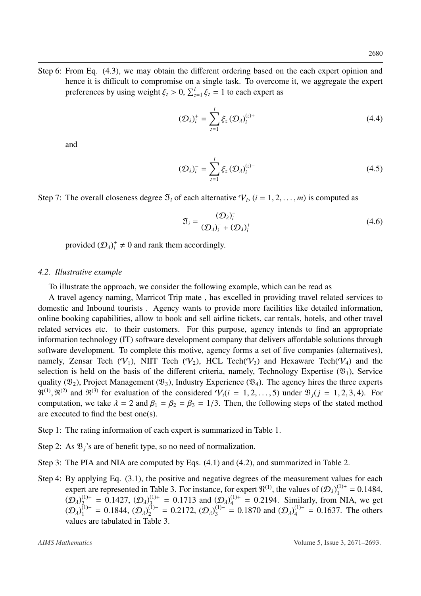Step 6: From Eq. [\(4.3\)](#page-8-0), we may obtain the different ordering based on the each expert opinion and hence it is difficult to compromise on a single task. To overcome it, we aggregate the expert preferences by using weight  $\xi_z > 0$ ,  $\sum_{z=1}^{l} \xi_z = 1$  to each expert as

<span id="page-9-0"></span>
$$
(\mathcal{D}_{\lambda})_i^+ = \sum_{z=1}^l \xi_z \left( \mathcal{D}_{\lambda} \right)_i^{(z)+} \tag{4.4}
$$

and

<span id="page-9-1"></span>
$$
(\mathcal{D}_{\lambda})_{i}^{-} = \sum_{z=1}^{l} \xi_{z} (\mathcal{D}_{\lambda})_{i}^{(z)-}
$$
\n(4.5)

Step 7: The overall closeness degree  $\mathfrak{I}_i$  of each alternative  $\mathcal{V}_i$ ,  $(i = 1, 2, ..., m)$  is computed as

<span id="page-9-2"></span>
$$
\mathfrak{I}_{i} = \frac{(\mathcal{D}_{\lambda})_{i}^{-}}{(\mathcal{D}_{\lambda})_{i}^{-} + (\mathcal{D}_{\lambda})_{i}^{+}}
$$
(4.6)

provided  $(D_{\lambda})^+_i \neq 0$  and rank them accordingly.

#### *4.2. Illustrative example*

To illustrate the approach, we consider the following example, which can be read as

A travel agency naming, Marricot Trip mate , has excelled in providing travel related services to domestic and Inbound tourists . Agency wants to provide more facilities like detailed information, online booking capabilities, allow to book and sell airline tickets, car rentals, hotels, and other travel related services etc. to their customers. For this purpose, agency intends to find an appropriate information technology (IT) software development company that delivers affordable solutions through software development. To complete this motive, agency forms a set of five companies (alternatives), namely, Zensar Tech  $(V_1)$ , NIIT Tech  $(V_2)$ , HCL Tech $(V_3)$  and Hexaware Tech $(V_4)$  and the selection is held on the basis of the different criteria, namely, Technology Expertise  $(\mathfrak{B}_1)$ , Service quality ( $\mathfrak{B}_2$ ), Project Management ( $\mathfrak{B}_3$ ), Industry Experience ( $\mathfrak{B}_4$ ). The agency hires the three experts  $\mathbb{R}^{(1)}$ ,  $\mathbb{R}^{(2)}$  and  $\mathbb{R}^{(3)}$  for evaluation of the considered  $\mathcal{V}_i(i = 1, 2, ..., 5)$  under  $\mathbb{B}_j(j = 1, 2, 3, 4)$ . For computation we take  $\lambda = 2$  and  $\beta_i = \beta_i = \beta_i = 1/3$ . Then the following steps of the sta computation, we take  $\lambda = 2$  and  $\beta_1 = \beta_2 = \beta_3 = 1/3$ . Then, the following steps of the stated method are executed to find the best one(s).

- Step 1: The rating information of each expert is summarized in Table [1.](#page-11-0)
- Step 2: As  $\mathfrak{B}_i$ 's are of benefit type, so no need of normalization.
- Step 3: The PIA and NIA are computed by Eqs. [\(4.1\)](#page-8-1) and [\(4.2\)](#page-8-2), and summarized in Table [2.](#page-11-1)
- Step 4: By applying Eq. [\(3.1\)](#page-4-1), the positive and negative degrees of the measurement values for each expert are represented in Table [3.](#page-11-2) For instance, for expert  $\mathfrak{R}^{(1)}$ , the values of  $(\mathcal{D}_{\lambda})_1^{(1)+} = 0.1484$ ,  $(\mathcal{D}_{\lambda})^{(1)+} = 0.1427$ ,  $(\mathcal{D}_{\lambda})^{(1)+} = 0.1713$  and  $(\mathcal{D}_{\lambda})^{(1)+} = 0.2194$ . Similarly, from NIA, we  $(D_{\lambda})_{2}^{(1)+} = 0.1427$ ,  $(D_{\lambda})_{3}^{(1)+} = 0.1713$  and  $(D_{\lambda})_{4}^{(1)+} = 0.2194$ . Similarly, from NIA, we get  $(D_{\lambda})_{1}^{(1)-} = 0.1844$ ,  $(D_{\lambda})_{1}^{(1)-} = 0.2172$ ,  $(D_{\lambda})_{1}^{(1)-} = 0.1870$  and  $(D_{\lambda})_{1}^{(1)-} = 0.1637$ . The others  $(D_{\lambda})_1^{(1)} = 0.1844$ ,  $(D_{\lambda})_2^{(1)} = 0.2172$ ,  $(D_{\lambda})_3^{(1)} = 0.1870$  and  $(D_{\lambda})_4^{(1)} = 0.1637$ . The others values are tabulated in Table [3.](#page-11-2)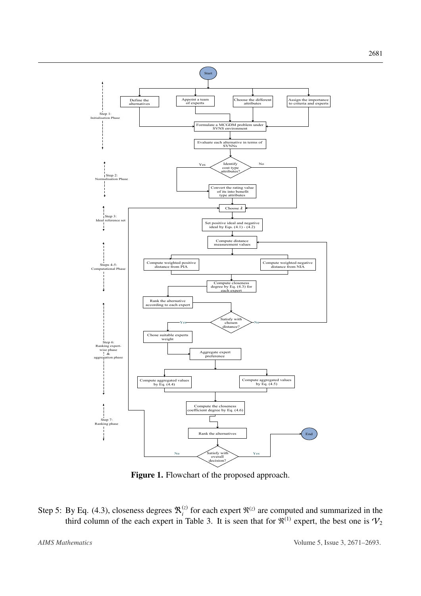<span id="page-10-0"></span>

Figure 1. Flowchart of the proposed approach.

Step 5: By Eq. [\(4.3\)](#page-8-0), closeness degrees  $\mathfrak{R}_i^{(z)}$  $\binom{z}{i}$  for each expert  $\Re^{(z)}$  are computed and summarized in the third column of the each expert in Table [3.](#page-11-2) It is seen that for  $\mathfrak{R}^{(1)}$  expert, the best one is  $\mathcal{V}_2$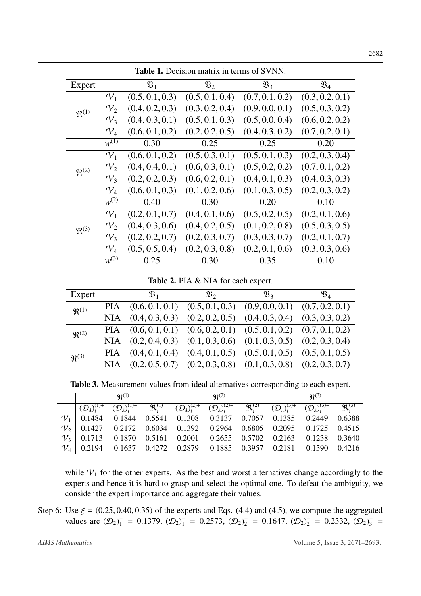<span id="page-11-0"></span>

|                      | <b>Table 1.</b> Decision matrix in terms of SVNN. |                  |                  |                  |                  |  |
|----------------------|---------------------------------------------------|------------------|------------------|------------------|------------------|--|
| Expert               |                                                   | $\mathfrak{B}_1$ | $\mathfrak{B}_2$ | $\mathfrak{B}_3$ | $\mathfrak{B}_4$ |  |
|                      | $\mathcal{V}_1$                                   | (0.5, 0.1, 0.3)  | (0.5, 0.1, 0.4)  | (0.7, 0.1, 0.2)  | (0.3, 0.2, 0.1)  |  |
| $\mathfrak{R}^{(1)}$ | $\mathcal{V}_2$                                   | (0.4, 0.2, 0.3)  | (0.3, 0.2, 0.4)  | (0.9, 0.0, 0.1)  | (0.5, 0.3, 0.2)  |  |
|                      | $\mathcal{V}_3$                                   | (0.4, 0.3, 0.1)  | (0.5, 0.1, 0.3)  | (0.5, 0.0, 0.4)  | (0.6, 0.2, 0.2)  |  |
|                      | $\mathcal{V}_4$                                   | (0.6, 0.1, 0.2)  | (0.2, 0.2, 0.5)  | (0.4, 0.3, 0.2)  | (0.7, 0.2, 0.1)  |  |
|                      | $w^{(1)}$                                         | 0.30             | 0.25             | 0.25             | 0.20             |  |
|                      | $\mathcal{V}_1$                                   | (0.6, 0.1, 0.2)  | (0.5, 0.3, 0.1)  | (0.5, 0.1, 0.3)  | (0.2, 0.3, 0.4)  |  |
| $\mathfrak{R}^{(2)}$ | $\mathcal{V}_2$                                   | (0.4, 0.4, 0.1)  | (0.6, 0.3, 0.1)  | (0.5, 0.2, 0.2)  | (0.7, 0.1, 0.2)  |  |
|                      | $\mathcal{V}_3$                                   | (0.2, 0.2, 0.3)  | (0.6, 0.2, 0.1)  | (0.4, 0.1, 0.3)  | (0.4, 0.3, 0.3)  |  |
|                      | $\mathcal{V}_4$                                   | (0.6, 0.1, 0.3)  | (0.1, 0.2, 0.6)  | (0.1, 0.3, 0.5)  | (0.2, 0.3, 0.2)  |  |
|                      | $w^{(\overline{2})}$                              | 0.40             | 0.30             | 0.20             | 0.10             |  |
|                      | $\mathcal{V}_1$                                   | (0.2, 0.1, 0.7)  | (0.4, 0.1, 0.6)  | (0.5, 0.2, 0.5)  | (0.2, 0.1, 0.6)  |  |
| $\mathfrak{R}^{(3)}$ | $V_2$                                             | (0.4, 0.3, 0.6)  | (0.4, 0.2, 0.5)  | (0.1, 0.2, 0.8)  | (0.5, 0.3, 0.5)  |  |
|                      | $\mathcal{V}_3$                                   | (0.2, 0.2, 0.7)  | (0.2, 0.3, 0.7)  | (0.3, 0.3, 0.7)  | (0.2, 0.1, 0.7)  |  |
|                      | $\mathcal{V}_4$                                   | (0.5, 0.5, 0.4)  | (0.2, 0.3, 0.8)  | (0.2, 0.1, 0.6)  | (0.3, 0.3, 0.6)  |  |
|                      | $w^{(3)}$                                         | 0.25             | 0.30             | 0.35             | 0.10             |  |

Table 1. Decision matrix in terms of SVNN.

Table 2. PIA & NIA for each expert.

<span id="page-11-1"></span>

| Expert               |            | $\mathfrak{B}_1$                                                            | $\mathfrak{B}_2$ | $\mathfrak{B}_3$                                                        | $\mathfrak{B}_4$ |
|----------------------|------------|-----------------------------------------------------------------------------|------------------|-------------------------------------------------------------------------|------------------|
| $\mathfrak{R}^{(1)}$ |            | PIA $(0.6, 0.1, 0.1)$ $(0.5, 0.1, 0.3)$ $(0.9, 0.0, 0.1)$ $(0.7, 0.2, 0.1)$ |                  |                                                                         |                  |
|                      | <b>NIA</b> | $(0.4, 0.3, 0.3)$ $(0.2, 0.2, 0.5)$ $(0.4, 0.3, 0.4)$ $(0.3, 0.3, 0.2)$     |                  |                                                                         |                  |
| $\mathfrak{R}^{(2)}$ |            | PIA $(0.6, 0.1, 0.1)$ $(0.6, 0.2, 0.1)$ $(0.5, 0.1, 0.2)$ $(0.7, 0.1, 0.2)$ |                  |                                                                         |                  |
|                      | NIA        | $(0.2, 0.4, 0.3)$ $(0.1, 0.3, 0.6)$ $(0.1, 0.3, 0.5)$ $(0.2, 0.3, 0.4)$     |                  |                                                                         |                  |
| $\mathfrak{R}^{(3)}$ |            | PIA $(0.4, 0.1, 0.4)$ $(0.4, 0.1, 0.5)$ $(0.5, 0.1, 0.5)$ $(0.5, 0.1, 0.5)$ |                  |                                                                         |                  |
|                      | <b>NIA</b> |                                                                             |                  | $(0.2, 0.5, 0.7)$ $(0.2, 0.3, 0.8)$ $(0.1, 0.3, 0.8)$ $(0.2, 0.3, 0.7)$ |                  |
|                      |            |                                                                             |                  |                                                                         |                  |

Table 3. Measurement values from ideal alternatives corresponding to each expert.

<span id="page-11-2"></span>

|                                      | $\mathfrak{R}^{(1)}$ |                                                                                                                                                                                                                                                            | $\mathfrak{R}^{(2)}$ |  | $\mathfrak{R}^{(3)}$ |  |
|--------------------------------------|----------------------|------------------------------------------------------------------------------------------------------------------------------------------------------------------------------------------------------------------------------------------------------------|----------------------|--|----------------------|--|
| $(\mathcal{D}_{\lambda})_{i}^{(1)+}$ |                      | $\overline{(\mathcal{D}_\lambda)^{(1)-}}$ $\mathfrak{R}_i^{(1)}$ $(\mathcal{D}_\lambda)^{(2)+}_{i}$ $(\mathcal{D}_\lambda)^{(2)-}_{i}$ $\mathfrak{R}_i^{(2)}$ $(\mathcal{D}_\lambda)^{(3)+}_{i}$ $(\mathcal{D}_\lambda)^{(3)-}_{i}$ $\mathfrak{R}_i^{(3)}$ |                      |  |                      |  |
|                                      |                      | $\mathcal{V}_1$ 0.1484 0.1844 0.5541 0.1308 0.3137 0.7057 0.1385 0.2449 0.6388                                                                                                                                                                             |                      |  |                      |  |
|                                      |                      | $\mathcal{V}_2$ 0.1427 0.2172 0.6034 0.1392 0.2964 0.6805 0.2095 0.1725 0.4515                                                                                                                                                                             |                      |  |                      |  |
|                                      |                      | $\mathcal{V}_3$ 0.1713 0.1870 0.5161 0.2001 0.2655 0.5702 0.2163 0.1238 0.3640                                                                                                                                                                             |                      |  |                      |  |
|                                      |                      | $V_4$   0.2194 0.1637 0.4272 0.2879 0.1885 0.3957 0.2181 0.1590 0.4216                                                                                                                                                                                     |                      |  |                      |  |

while  $V_1$  for the other experts. As the best and worst alternatives change accordingly to the experts and hence it is hard to grasp and select the optimal one. To defeat the ambiguity, we consider the expert importance and aggregate their values.

Step 6: Use  $\xi = (0.25, 0.40, 0.35)$  of the experts and Eqs. [\(4.4\)](#page-9-0) and [\(4.5\)](#page-9-1), we compute the aggregated values are  $(D_2)^+_1 = 0.1379$ ,  $(D_2)^-_1 = 0.2573$ ,  $(D_2)^+_2 = 0.1647$ ,  $(D_2)^-_2 = 0.2332$ ,  $(D_2)^+_3 = 0.2332$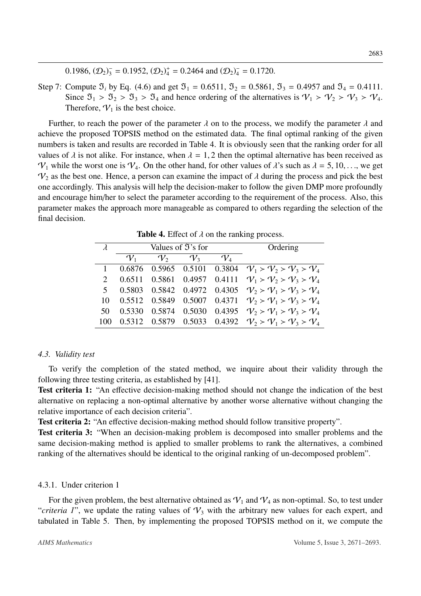0.1986,  $(D_2)^{-}_{3} = 0.1952$ ,  $(D_2)^{+}_{4} = 0.2464$  and  $(D_2)^{-}_{4} = 0.1720$ .

Step 7: Compute  $\mathfrak{I}_i$  by Eq. [\(4.6\)](#page-9-2) and get  $\mathfrak{I}_1 = 0.6511$ ,  $\mathfrak{I}_2 = 0.5861$ ,  $\mathfrak{I}_3 = 0.4957$  and  $\mathfrak{I}_4 = 0.4111$ . Since  $\mathfrak{I}_1 > \mathfrak{I}_2 > \mathfrak{I}_3 > \mathfrak{I}_4$  and hence ordering of the alternatives is  $\mathcal{V}_1 > \mathcal{V}_2 > \mathcal{V}_3 > \mathcal{V}_4$ . Therefore,  $V_1$  is the best choice.

Further, to reach the power of the parameter  $\lambda$  on to the process, we modify the parameter  $\lambda$  and achieve the proposed TOPSIS method on the estimated data. The final optimal ranking of the given numbers is taken and results are recorded in Table [4.](#page-12-0) It is obviously seen that the ranking order for all values of  $\lambda$  is not alike. For instance, when  $\lambda = 1, 2$  then the optimal alternative has been received as  $V_1$  while the worst one is  $V_4$ . On the other hand, for other values of  $\lambda$ 's such as  $\lambda = 5, 10, \ldots$ , we get  $\mathcal{V}_2$  as the best one. Hence, a person can examine the impact of  $\lambda$  during the process and pick the best one accordingly. This analysis will help the decision-maker to follow the given DMP more profoundly and encourage him/her to select the parameter according to the requirement of the process. Also, this parameter makes the approach more manageable as compared to others regarding the selection of the final decision.

<span id="page-12-0"></span>

| $\lambda$      |                 | Values of $\mathfrak{I}'$ 's for | Ordering        |                 |                                                     |
|----------------|-----------------|----------------------------------|-----------------|-----------------|-----------------------------------------------------|
|                | $\mathcal{V}_1$ | $\mathcal{V}_2$                  | $\mathcal{V}_3$ | $\mathcal{V}_4$ |                                                     |
|                |                 |                                  |                 |                 | 0.6876 0.5965 0.5101 0.3804 $V_1 > V_2 > V_3 > V_4$ |
|                | 0.6511          |                                  |                 |                 | 0.5861 0.4957 0.4111 $V_1 > V_2 > V_3 > V_4$        |
| 5 <sup>1</sup> |                 |                                  |                 |                 | 0.5803 0.5842 0.4972 0.4305 $V_2 > V_1 > V_3 > V_4$ |
| 10             |                 | 0.5512 0.5849                    |                 |                 | 0.5007 0.4371 $V_2 > V_1 > V_3 > V_4$               |
| 50             | 0.5330          |                                  |                 |                 | 0.5874 0.5030 0.4395 $V_2 > V_1 > V_3 > V_4$        |
|                |                 |                                  |                 |                 | 0.5312 0.5879 0.5033 0.4392 $V_2 > V_1 > V_2 > V_4$ |

**Table 4.** Effect of  $\lambda$  on the ranking process.

#### *4.3. Validity test*

To verify the completion of the stated method, we inquire about their validity through the following three testing criteria, as established by [\[41\]](#page-22-7).

Test criteria 1: "An effective decision-making method should not change the indication of the best alternative on replacing a non-optimal alternative by another worse alternative without changing the relative importance of each decision criteria".

Test criteria 2: "An effective decision-making method should follow transitive property".

Test criteria 3: "When an decision-making problem is decomposed into smaller problems and the same decision-making method is applied to smaller problems to rank the alternatives, a combined ranking of the alternatives should be identical to the original ranking of un-decomposed problem".

#### 4.3.1. Under criterion 1

For the given problem, the best alternative obtained as  $V_1$  and  $V_4$  as non-optimal. So, to test under "*criteria 1*", we update the rating values of  $V_3$  with the arbitrary new values for each expert, and tabulated in Table [5.](#page-13-0) Then, by implementing the proposed TOPSIS method on it, we compute the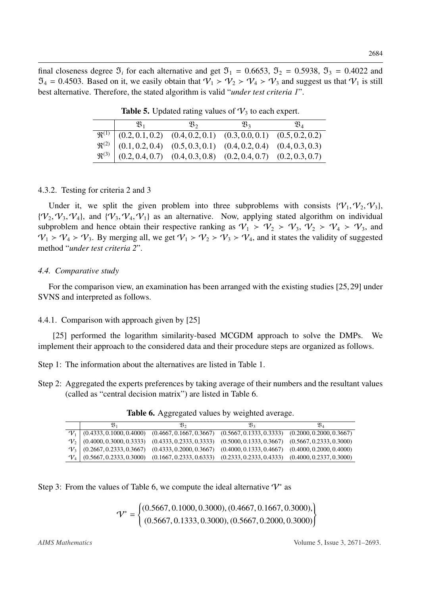<span id="page-13-0"></span>final closeness degree  $\mathfrak{I}_i$  for each alternative and get  $\mathfrak{I}_1 = 0.6653$ ,  $\mathfrak{I}_2 = 0.5938$ ,  $\mathfrak{I}_3 = 0.4022$  and  $\mathfrak{I}_4 = 0.4503$ . Based on it, we easily obtain that  $\mathcal{V}_1 > \mathcal{V}_2 > \mathcal{V}_4 > \mathcal{V}_3$  and suggest us that  $\mathcal{V}_1$  is still best alternative. Therefore, the stated algorithm is valid "*under test criteria 1*".

|                                                                                                                                                                                                                                                                                               | $\mathfrak{B}_{2}$ | $\mathfrak{B}_3$ | $\mathfrak{B}_4$ |
|-----------------------------------------------------------------------------------------------------------------------------------------------------------------------------------------------------------------------------------------------------------------------------------------------|--------------------|------------------|------------------|
|                                                                                                                                                                                                                                                                                               |                    |                  |                  |
|                                                                                                                                                                                                                                                                                               |                    |                  |                  |
| $\begin{array}{c cccccc}\n\mathfrak{R}^{(1)} & (0.2, 0.1, 0.2) & (0.4, 0.2, 0.1) & (0.3, 0.0, 0.1) & (0.5, 0.2, 0.2) \\ \mathfrak{R}^{(2)} & (0.1, 0.2, 0.4) & (0.5, 0.3, 0.1) & (0.4, 0.2, 0.4) & (0.4, 0.3, 0.3) \\ \mathfrak{R}^{(3)} & (0.2, 0.4, 0.7) & (0.4, 0.3, 0.8) & (0.2, 0.4, 0.$ |                    |                  |                  |
|                                                                                                                                                                                                                                                                                               |                    |                  |                  |

**Table 5.** Updated rating values of  $\mathcal{V}_3$  to each expert.

#### 4.3.2. Testing for criteria 2 and 3

Under it, we split the given problem into three subproblems with consists  $\{V_1, V_2, V_3\}$ ,  ${\mathcal{V}_2, \mathcal{V}_3, \mathcal{V}_4}$ , and  ${\mathcal{V}_3, \mathcal{V}_4, \mathcal{V}_1}$  as an alternative. Now, applying stated algorithm on individual subproblem and hence obtain their respective ranking as  $V_1 > V_2 > V_3$ ,  $V_2 > V_4 > V_3$ , and  $\mathcal{V}_1$  >  $\mathcal{V}_4$  >  $\mathcal{V}_3$ . By merging all, we get  $\mathcal{V}_1$  >  $\mathcal{V}_2$  >  $\mathcal{V}_3$  >  $\mathcal{V}_4$ , and it states the validity of suggested method "*under test criteria 2*".

#### *4.4. Comparative study*

For the comparison view, an examination has been arranged with the existing studies [\[25,](#page-21-10)[29\]](#page-21-14) under SVNS and interpreted as follows.

#### 4.4.1. Comparison with approach given by [\[25\]](#page-21-10)

[\[25\]](#page-21-10) performed the logarithm similarity-based MCGDM approach to solve the DMPs. We implement their approach to the considered data and their procedure steps are organized as follows.

Step 1: The information about the alternatives are listed in Table [1.](#page-11-0)

<span id="page-13-1"></span>Step 2: Aggregated the experts preferences by taking average of their numbers and the resultant values (called as "central decision matrix") are listed in Table [6.](#page-13-1)

|                 | $\mathfrak{B}_1$         | Q3,                      | $\mathfrak{B}_3$         | $\mathfrak{V}_4$         |
|-----------------|--------------------------|--------------------------|--------------------------|--------------------------|
| $\mathcal{V}_1$ | (0.4333, 0.1000, 0.4000) | (0.4667, 0.1667, 0.3667) | (0.5667, 0.1333, 0.3333) | (0.2000, 0.2000, 0.3667) |
| $\mathcal{V}$   | (0.4000, 0.3000, 0.3333) | (0.4333, 0.2333, 0.3333) | (0.5000, 0.1333, 0.3667) | (0.5667, 0.2333, 0.3000) |
| $V_1$           | (0.2667, 0.2333, 0.3667) | (0.4333, 0.2000, 0.3667) | (0.4000, 0.1333, 0.4667) | (0.4000, 0.2000, 0.4000) |
| $ V_4 $         | (0.5667, 0.2333, 0.3000) | (0.1667, 0.2333, 0.6333) | (0.2333, 0.2333, 0.4333) | (0.4000, 0.2337, 0.3000) |
|                 |                          |                          |                          |                          |

Table 6. Aggregated values by weighted average.

Step 3: From the values of Table [6,](#page-13-1) we compute the ideal alternative  $\mathcal{V}^*$  as

$$
\mathcal{V}^* = \begin{cases} (0.5667, 0.1000, 0.3000), (0.4667, 0.1667, 0.3000), \\ (0.5667, 0.1333, 0.3000), (0.5667, 0.2000, 0.3000) \end{cases}
$$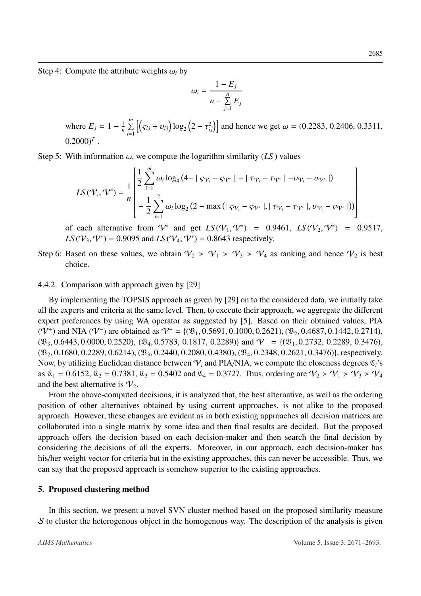Step 4: Compute the attribute weights  $\omega_i$  by

$$
\omega_i = \frac{1 - E_j}{n - \sum_{j=1}^n E_j}
$$

where  $E_j = 1 - \frac{1}{n}$  $\frac{1}{n}$   $\sum_{n=1}^{m}$ *i*=1  $[(\zeta_{ij} + v_{ij}) \log_2 (2 - \tau_{ij}^2)]$  and hence we get  $\omega = (0.2283, 0.2406, 0.3311, ...)$  $(0.2000)^T$ .

Step 5: With information  $\omega$ , we compute the logarithm similarity (*LS*) values

$$
LS(\mathcal{V}_i, \mathcal{V}^*) = \frac{1}{n} \begin{bmatrix} \frac{1}{2} \sum_{i=1}^m \omega_i \log_4 (4 - |\varsigma_{\mathcal{V}_i} - \varsigma_{\mathcal{V}^*}| - |\tau_{\mathcal{V}_i} - \tau_{\mathcal{V}^*}| - \upsilon_{\mathcal{V}_i} - \upsilon_{\mathcal{V}^*}|) \\ + \frac{1}{2} \sum_{i=1}^2 \omega_i \log_2 (2 - \max(|\varsigma_{\mathcal{V}_i} - \varsigma_{\mathcal{V}^*}|, |\tau_{\mathcal{V}_i} - \tau_{\mathcal{V}^*}|, \upsilon_{\mathcal{V}_i} - \upsilon_{\mathcal{V}^*}|)) \end{bmatrix}
$$

of each alternative from  $V^*$  and get  $LS(V_1, V^*) = 0.9461$ ,  $LS(V_2, V^*) = 0.9517$ ,<br> $LS(V_3, V^*) = 0.9005$  and  $IS(V_2, V^*) = 0.8643$  respectively *LS* ( $V_3$ ,  $V^*$ ) = 0.9095 and *LS* ( $V_4$ ,  $V^*$ ) = 0.8643 respectively.

Step 6: Based on these values, we obtain  $V_2 > V_1 > V_3 > V_4$  as ranking and hence  $V_2$  is best choice.

#### 4.4.2. Comparison with approach given by [\[29\]](#page-21-14)

By implementing the TOPSIS approach as given by [\[29\]](#page-21-14) on to the considered data, we initially take all the experts and criteria at the same level. Then, to execute their approach, we aggregate the different expert preferences by using WA operator as suggested by [\[5\]](#page-20-4). Based on their obtained values, PIA ( $V^+$ ) and NIA ( $V^-$ ) are obtained as  $V^+ = \{(\mathfrak{B}_1, 0.5691, 0.1000, 0.2621), (\mathfrak{B}_2, 0.4687, 0.1442, 0.2714), (\mathfrak{B}_3, 0.6443, 0.0000, 0.2520), (\mathfrak{B}_4, 0.5783, 0.1817, 0.2289)\}$  and  $V^- = \{(\mathfrak{B}_4, 0.2732, 0.2789, 0.34$  $(\mathfrak{B}_3, 0.6443, 0.0000, 0.2520), (\mathfrak{B}_4, 0.5783, 0.1817, 0.2289)$  and  $V^- = \{(\mathfrak{B}_1, 0.2732, 0.2289, 0.3476),$  $(\mathfrak{B}_2, 0.1680, 0.2289, 0.6214), (\mathfrak{B}_3, 0.2440, 0.2080, 0.4380), (\mathfrak{B}_4, 0.2348, 0.2621, 0.3476)$ , respectively. Now, by utilizing Euclidean distance between  $V_i$  and PIA/NIA, we compute the closeness degrees  $\mathfrak{C}_i$ 's as  $\mathfrak{C}_1 = 0.6152$ ,  $\mathfrak{C}_2 = 0.7381$ ,  $\mathfrak{C}_3 = 0.5402$  and  $\mathfrak{C}_4 = 0.3727$ . Thus, ordering are  $\mathcal{V}_2 > \mathcal{V}_1 > \mathcal{V}_3 > \mathcal{V}_4$ and the best alternative is  $V_2$ .

From the above-computed decisions, it is analyzed that, the best alternative, as well as the ordering position of other alternatives obtained by using current approaches, is not alike to the proposed approach. However, these changes are evident as in both existing approaches all decision matrices are collaborated into a single matrix by some idea and then final results are decided. But the proposed approach offers the decision based on each decision-maker and then search the final decision by considering the decisions of all the experts. Moreover, in our approach, each decision-maker has his/her weight vector for criteria but in the existing approaches, this can never be accessible. Thus, we can say that the proposed approach is somehow superior to the existing approaches.

#### <span id="page-14-0"></span>5. Proposed clustering method

In this section, we present a novel SVN cluster method based on the proposed similarity measure S to cluster the heterogenous object in the homogenous way. The description of the analysis is given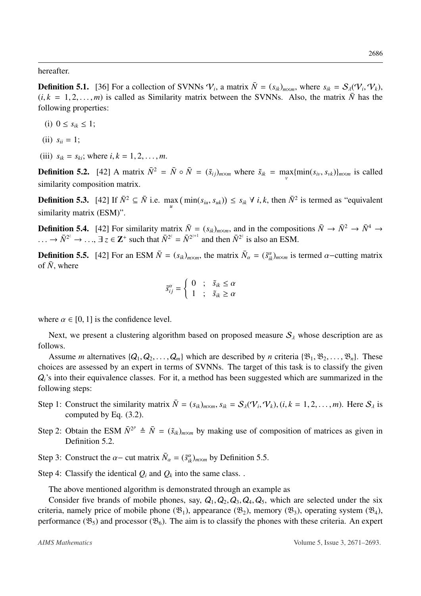hereafter.

**Definition 5.1.** [\[36\]](#page-22-4) For a collection of SVNNs  $V_i$ , a matrix  $\overline{N} = (s_{ik})_{m \times m}$ , where  $s_{ik} = S_{\lambda}(V_i, V_k)$ ,  $(i, k = 1, 2, ..., m)$  is called as Similarity matrix between the SVNNs. Also, the matrix  $\overline{N}$  has the  $(i, k = 1, 2, \ldots, m)$  is called as Similarity matrix between the SVNNs. Also, the matrix  $\overline{N}$  has the following properties:

- (i)  $0 \le s_{ik} \le 1$ ;
- (ii)  $s_{ii} = 1$ ;
- (iii)  $s_{ik} = s_{ki}$ ; where  $i, k = 1, 2, ..., m$ .

<span id="page-15-0"></span>**Definition 5.2.** [\[42\]](#page-22-8) A matrix  $\bar{N}^2 = \bar{N} \circ \bar{N} = (\tilde{s}_{ij})_{m \times m}$  where  $\tilde{s}_{ik} = \max_{v} \{\min(s_{iv}, s_{vk})\}_{m \times m}$  is called similarity composition matrix.

**Definition 5.3.** [\[42\]](#page-22-8) If  $\bar{N}^2 \subseteq \bar{N}$  i.e. max  $(\min(s_{iu}, s_{uk})) \le s_{ik} \forall i, k$ , then  $\bar{N}^2$  is termed as "equivalent" similarity matrix (ESM)".

**Definition 5.4.** [\[42\]](#page-22-8) For similarity matrix  $\bar{N} = (s_{ik})_{m \times m}$ , and in the compositions  $\bar{N} \to \bar{N}^2 \to \bar{N}^4 \to$  $\therefore \rightarrow \bar{N}^{2^z} \rightarrow \dots$ ,  $\exists z \in \mathbb{Z}^+$  such that  $\bar{N}^{2^z} = \bar{N}^{2^{z+1}}$  and then  $\bar{N}^{2^z}$  is also an ESM.

<span id="page-15-1"></span>**Definition 5.5.** [\[42\]](#page-22-8) For an ESM  $\bar{N} = (s_{ik})_{m \times m}$ , the matrix  $\bar{N}_{\alpha} = (\tilde{s}_{ik})_{m \times m}$  is termed  $\alpha$ -cutting matrix of  $\bar{N}_{\alpha}$  where of  $\bar{N}$ , where

$$
\tilde{s}_{ij}^{\alpha} = \begin{cases} 0 & ; & \tilde{s}_{ik} \le \alpha \\ 1 & ; & \tilde{s}_{ik} \ge \alpha \end{cases}
$$

where  $\alpha \in [0, 1]$  is the confidence level.

Next, we present a clustering algorithm based on proposed measure  $S_\lambda$  whose description are as follows.

Assume *m* alternatives  $\{Q_1, Q_2, \ldots, Q_m\}$  which are described by *n* criteria  $\{\mathfrak{B}_1, \mathfrak{B}_2, \ldots, \mathfrak{B}_n\}$ . These choices are assessed by an expert in terms of SVNNs. The target of this task is to classify the given  $Q_i$ 's into their equivalence classes. For it, a method has been suggested which are summarized in the following steps:

- Step 1: Construct the similarity matrix  $\overline{N} = (s_{ik})_{m \times m}$ ,  $s_{ik} = S_{\lambda}(\mathcal{V}_i, \mathcal{V}_k)$ ,  $(i, k = 1, 2, ..., m)$ . Here  $S_{\lambda}$  is computed by Eq. (3.2) computed by Eq. [\(3.2\)](#page-7-1).
- Step 2: Obtain the ESM  $\bar{N}^{2^p} \triangleq \bar{N} = (\tilde{s}_{ik})_{m \times m}$  by making use of composition of matrices as given in Definition [5.2.](#page-15-0)
- Step 3: Construct the  $\alpha$  cut matrix  $\bar{N}_{\alpha} = (\tilde{s}_{ik}^{\alpha})_{m \times m}$  by Definition [5.5.](#page-15-1)

Step 4: Classify the identical  $Q_i$  and  $Q_k$  into the same class. .

The above mentioned algorithm is demonstrated through an example as

Consider five brands of mobile phones, say,  $Q_1$ ,  $Q_2$ ,  $Q_3$ ,  $Q_4$ ,  $Q_5$ , which are selected under the six criteria, namely price of mobile phone  $(\mathfrak{B}_1)$ , appearance  $(\mathfrak{B}_2)$ , memory  $(\mathfrak{B}_3)$ , operating system  $(\mathfrak{B}_4)$ , performance  $(\mathfrak{B}_5)$  and processor  $(\mathfrak{B}_6)$ . The aim is to classify the phones with these criteria. An expert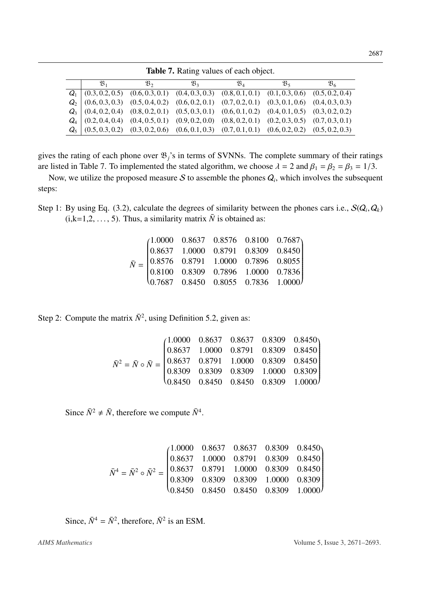<span id="page-16-0"></span>

| $\mathfrak{B}_1$ | $\mathfrak{B}_2$                                                                                      | $\mathfrak{B}_3$ | $\mathfrak{B}_4$ | $\mathfrak{B}_{5}$ | $\mathfrak{B}_{6}$ |
|------------------|-------------------------------------------------------------------------------------------------------|------------------|------------------|--------------------|--------------------|
|                  | $Q_1$ (0.3, 0.2, 0.5) (0.6, 0.3, 0.1) (0.4, 0.3, 0.3) (0.8, 0.1, 0.1) (0.1, 0.3, 0.6) (0.5, 0.2, 0.4) |                  |                  |                    |                    |
|                  | $Q_2$ (0.6, 0.3, 0.3) (0.5, 0.4, 0.2) (0.6, 0.2, 0.1) (0.7, 0.2, 0.1) (0.3, 0.1, 0.6) (0.4, 0.3, 0.3) |                  |                  |                    |                    |
|                  | $Q_3$ (0.4, 0.2, 0.4) (0.8, 0.2, 0.1) (0.5, 0.3, 0.1) (0.6, 0.1, 0.2) (0.4, 0.1, 0.5) (0.3, 0.2, 0.2) |                  |                  |                    |                    |
|                  | $Q_4$ (0.2, 0.4, 0.4) (0.4, 0.5, 0.1) (0.9, 0.2, 0.0) (0.8, 0.2, 0.1) (0.2, 0.3, 0.5) (0.7, 0.3, 0.1) |                  |                  |                    |                    |
|                  | $Q_5$ (0.5, 0.3, 0.2) (0.3, 0.2, 0.6) (0.6, 0.1, 0.3) (0.7, 0.1, 0.1) (0.6, 0.2, 0.2) (0.5, 0.2, 0.3) |                  |                  |                    |                    |
|                  |                                                                                                       |                  |                  |                    |                    |

Table 7. Rating values of each object.

gives the rating of each phone over  $\mathfrak{B}_j$ 's in terms of SVNNs. The complete summary of their ratings are listed in Table [7.](#page-16-0) To implemented the stated algorithm, we choose  $\lambda = 2$  and  $\beta_1 = \beta_2 = \beta_3 = 1/3$ .

Now, we utilize the proposed measure  $S$  to assemble the phones  $Q_i$ , which involves the subsequent steps:

Step 1: By using Eq. [\(3.2\)](#page-7-2), calculate the degrees of similarity between the phones cars i.e.,  $S(Q_i, Q_k)$ <br>(i k – 1.2 – 5). Thus a similarity matrix  $\bar{N}$  is obtained as:  $(i,k=1,2,\ldots, 5)$ . Thus, a similarity matrix  $\overline{N}$  is obtained as:

|  |  | $\bar{N} = \begin{pmatrix} 1.0000 & 0.8637 & 0.8576 & 0.8100 & 0.7687\\ 0.8637 & 1.0000 & 0.8791 & 0.8309 & 0.8450\\ 0.8576 & 0.8791 & 1.0000 & 0.7896 & 0.8055\\ 0.8100 & 0.8309 & 0.7896 & 1.0000 & 0.7836\\ 0.7687 & 0.8450 & 0.8055 & 0.7836 & 1.0000 \end{pmatrix}$ |
|--|--|--------------------------------------------------------------------------------------------------------------------------------------------------------------------------------------------------------------------------------------------------------------------------|
|  |  |                                                                                                                                                                                                                                                                          |

Step 2: Compute the matrix  $\bar{N}^2$ , using Definition [5.2,](#page-15-0) given as:

$$
\bar{N}^2 = \bar{N} \circ \bar{N} = \begin{pmatrix} 1.0000 & 0.8637 & 0.8637 & 0.8309 & 0.8450 \\ 0.8637 & 1.0000 & 0.8791 & 0.8309 & 0.8450 \\ 0.8637 & 0.8791 & 1.0000 & 0.8309 & 0.8450 \\ 0.8309 & 0.8309 & 0.8309 & 1.0000 & 0.8309 \\ 0.8450 & 0.8450 & 0.8450 & 0.8309 & 1.0000 \end{pmatrix}
$$

Since  $\bar{N}^2 \neq \bar{N}$ , therefore we compute  $\bar{N}^4$ .

$$
\bar{N}^4 = \bar{N}^2 \circ \bar{N}^2 = \begin{pmatrix}\n1.0000 & 0.8637 & 0.8637 & 0.8309 & 0.8450 \\
0.8637 & 1.0000 & 0.8791 & 0.8309 & 0.8450 \\
0.8637 & 0.8791 & 1.0000 & 0.8309 & 0.8450 \\
0.8309 & 0.8309 & 0.8309 & 1.0000 & 0.8309 \\
0.8450 & 0.8450 & 0.8450 & 0.8309 & 1.0000\n\end{pmatrix}
$$

Since,  $\bar{N}^4 = \bar{N}^2$ , therefore,  $\bar{N}^2$  is an ESM.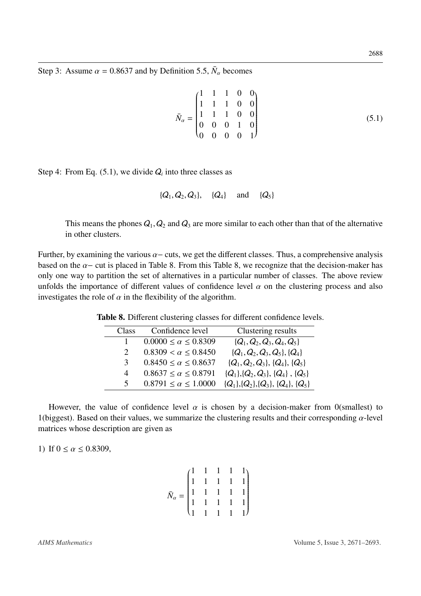Step 3: Assume  $\alpha = 0.8637$  and by Definition [5.5,](#page-15-1)  $\bar{N}_{\alpha}$  becomes

<span id="page-17-0"></span>
$$
\bar{N}_{\alpha} = \begin{pmatrix}\n1 & 1 & 1 & 0 & 0 \\
1 & 1 & 1 & 0 & 0 \\
1 & 1 & 1 & 0 & 0 \\
0 & 0 & 0 & 1 & 0 \\
0 & 0 & 0 & 0 & 1\n\end{pmatrix}
$$
\n(5.1)

Step 4: From Eq.  $(5.1)$ , we divide  $Q_i$  into three classes as

$$
\{Q_1, Q_2, Q_3\}, \{Q_4\} \text{ and } \{Q_5\}
$$

This means the phones  $Q_1$ ,  $Q_2$  and  $Q_3$  are more similar to each other than that of the alternative in other clusters.

<span id="page-17-1"></span>Further, by examining the various  $\alpha$  – cuts, we get the different classes. Thus, a comprehensive analysis based on the  $\alpha$ − cut is placed in Table [8.](#page-17-1) From this Table [8,](#page-17-1) we recognize that the decision-maker has only one way to partition the set of alternatives in a particular number of classes. The above review unfolds the importance of different values of confidence level  $\alpha$  on the clustering process and also investigates the role of  $\alpha$  in the flexibility of the algorithm.

| Class          | Confidence level               | Clustering results                    |
|----------------|--------------------------------|---------------------------------------|
| 1              | $0.0000 \le \alpha \le 0.8309$ | $\{Q_1, Q_2, Q_3, Q_4, Q_5\}$         |
| 2              | $0.8309 < \alpha \leq 0.8450$  | $\{Q_1, Q_2, Q_3, Q_5\}, \{Q_4\}$     |
| 3              | $0.8450 \le \alpha \le 0.8637$ | $\{Q_1, Q_2, Q_3\}, \{Q_4\}, \{Q_5\}$ |
| $\overline{4}$ | $0.8637 \le \alpha \le 0.8791$ | ${Q_1}, {Q_2}, {Q_3}, {Q_4}, {Q_5}$   |
| $\mathcal{F}$  | $0.8791 \le \alpha \le 1.0000$ | ${Q_1}, {Q_2}, {Q_3}, {Q_4}, {Q_5}$   |
|                |                                |                                       |

Table 8. Different clustering classes for different confidence levels.

However, the value of confidence level  $\alpha$  is chosen by a decision-maker from 0(smallest) to 1(biggest). Based on their values, we summarize the clustering results and their corresponding  $\alpha$ -level matrices whose description are given as

1) If  $0 \le \alpha \le 0.8309$ ,

$$
\bar{N}_{\alpha} = \begin{pmatrix} 1 & 1 & 1 & 1 & 1 \\ 1 & 1 & 1 & 1 & 1 \\ 1 & 1 & 1 & 1 & 1 \\ 1 & 1 & 1 & 1 & 1 \\ 1 & 1 & 1 & 1 & 1 \end{pmatrix}
$$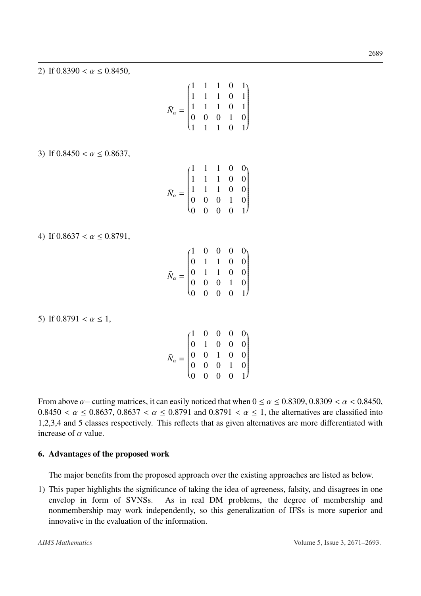2) If  $0.8390 < \alpha \le 0.8450$ ,

$$
\bar{N}_{\alpha} = \begin{pmatrix}\n1 & 1 & 1 & 0 & 1 \\
1 & 1 & 1 & 0 & 1 \\
1 & 1 & 1 & 0 & 1 \\
0 & 0 & 0 & 1 & 0 \\
1 & 1 & 1 & 0 & 1\n\end{pmatrix}
$$

3) If  $0.8450 < \alpha \le 0.8637$ ,

$$
\bar{N}_{\alpha} = \begin{pmatrix}\n1 & 1 & 1 & 0 & 0 \\
1 & 1 & 1 & 0 & 0 \\
1 & 1 & 1 & 0 & 0 \\
0 & 0 & 0 & 1 & 0 \\
0 & 0 & 0 & 0 & 1\n\end{pmatrix}
$$

4) If  $0.8637 < \alpha \le 0.8791$ ,

*N*¯ α = 1 0 0 0 0 0 1 1 0 0 0 1 1 0 0 0 0 0 1 0 0 0 0 0 1

5) If  $0.8791 < \alpha \leq 1$ ,

|                      | $\begin{pmatrix} 1 & 0 & 0 & 0 & 0 \\ 0 & 1 & 0 & 0 & 0 \\ 0 & 0 & 1 & 0 & 0 \\ 0 & 0 & 0 & 1 & 0 \\ 0 & 0 & 0 & 0 & 1 \end{pmatrix}$ |  |  |
|----------------------|---------------------------------------------------------------------------------------------------------------------------------------|--|--|
|                      |                                                                                                                                       |  |  |
| $\bar{N}_{\alpha} =$ |                                                                                                                                       |  |  |
|                      |                                                                                                                                       |  |  |
|                      |                                                                                                                                       |  |  |

From above  $\alpha$  – cutting matrices, it can easily noticed that when  $0 \le \alpha \le 0.8309$ ,  $0.8309 < \alpha < 0.8450$ ,  $0.8450 < \alpha \le 0.8637$ ,  $0.8637 < \alpha \le 0.8791$  and  $0.8791 < \alpha \le 1$ , the alternatives are classified into 1,2,3,4 and 5 classes respectively. This reflects that as given alternatives are more differentiated with increase of  $\alpha$  value.

#### <span id="page-18-0"></span>6. Advantages of the proposed work

The major benefits from the proposed approach over the existing approaches are listed as below.

1) This paper highlights the significance of taking the idea of agreeness, falsity, and disagrees in one envelop in form of SVNSs. As in real DM problems, the degree of membership and nonmembership may work independently, so this generalization of IFSs is more superior and innovative in the evaluation of the information.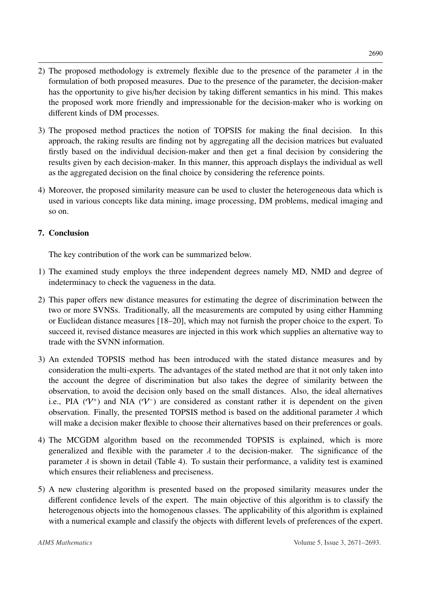- 2) The proposed methodology is extremely flexible due to the presence of the parameter  $\lambda$  in the formulation of both proposed measures. Due to the presence of the parameter, the decision-maker has the opportunity to give his/her decision by taking different semantics in his mind. This makes the proposed work more friendly and impressionable for the decision-maker who is working on different kinds of DM processes.
- 3) The proposed method practices the notion of TOPSIS for making the final decision. In this approach, the raking results are finding not by aggregating all the decision matrices but evaluated firstly based on the individual decision-maker and then get a final decision by considering the results given by each decision-maker. In this manner, this approach displays the individual as well as the aggregated decision on the final choice by considering the reference points.
- 4) Moreover, the proposed similarity measure can be used to cluster the heterogeneous data which is used in various concepts like data mining, image processing, DM problems, medical imaging and so on.

## <span id="page-19-0"></span>7. Conclusion

The key contribution of the work can be summarized below.

- 1) The examined study employs the three independent degrees namely MD, NMD and degree of indeterminacy to check the vagueness in the data.
- 2) This paper offers new distance measures for estimating the degree of discrimination between the two or more SVNSs. Traditionally, all the measurements are computed by using either Hamming or Euclidean distance measures [\[18](#page-21-3)[–20\]](#page-21-5), which may not furnish the proper choice to the expert. To succeed it, revised distance measures are injected in this work which supplies an alternative way to trade with the SVNN information.
- 3) An extended TOPSIS method has been introduced with the stated distance measures and by consideration the multi-experts. The advantages of the stated method are that it not only taken into the account the degree of discrimination but also takes the degree of similarity between the observation, to avoid the decision only based on the small distances. Also, the ideal alternatives i.e., PIA  $(V^+)$  and NIA  $(V^-)$  are considered as constant rather it is dependent on the given observation. Finally, the presented TOPSIS method is based on the additional parameter  $\lambda$  which will make a decision maker flexible to choose their alternatives based on their preferences or goals.
- 4) The MCGDM algorithm based on the recommended TOPSIS is explained, which is more generalized and flexible with the parameter  $\lambda$  to the decision-maker. The significance of the parameter  $\lambda$  is shown in detail (Table [4\)](#page-12-0). To sustain their performance, a validity test is examined which ensures their reliableness and preciseness.
- 5) A new clustering algorithm is presented based on the proposed similarity measures under the different confidence levels of the expert. The main objective of this algorithm is to classify the heterogenous objects into the homogenous classes. The applicability of this algorithm is explained with a numerical example and classify the objects with different levels of preferences of the expert.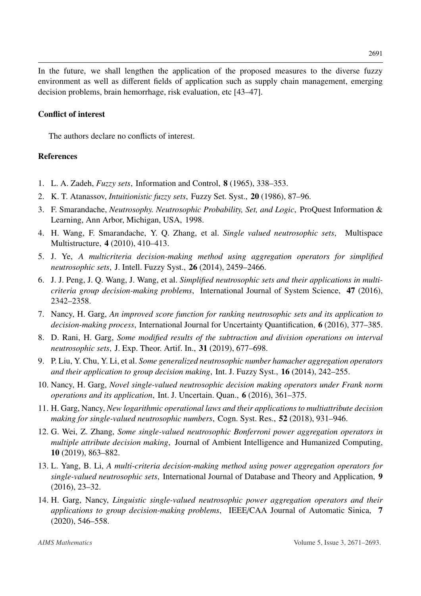In the future, we shall lengthen the application of the proposed measures to the diverse fuzzy environment as well as different fields of application such as supply chain management, emerging decision problems, brain hemorrhage, risk evaluation, etc [\[43–](#page-22-9)[47\]](#page-22-10).

#### Conflict of interest

The authors declare no conflicts of interest.

#### References

- <span id="page-20-0"></span>1. L. A. Zadeh, *Fuzzy sets*, Information and Control, 8 (1965), 338–353.
- <span id="page-20-1"></span>2. K. T. Atanassov, *Intuitionistic fuzzy sets*, Fuzzy Set. Syst., 20 (1986), 87–96.
- <span id="page-20-2"></span>3. F. Smarandache, *Neutrosophy. Neutrosophic Probability, Set, and Logic*, ProQuest Information & Learning, Ann Arbor, Michigan, USA, 1998.
- <span id="page-20-3"></span>4. H. Wang, F. Smarandache, Y. Q. Zhang, et al. *Single valued neutrosophic sets*, Multispace Multistructure, 4 (2010), 410–413.
- <span id="page-20-4"></span>5. J. Ye, *A multicriteria decision-making method using aggregation operators for simplified neutrosophic sets*, J. Intell. Fuzzy Syst., 26 (2014), 2459–2466.
- <span id="page-20-5"></span>6. J. J. Peng, J. Q. Wang, J. Wang, et al. *Simplified neutrosophic sets and their applications in multicriteria group decision-making problems*, International Journal of System Science, 47 (2016), 2342–2358.
- <span id="page-20-6"></span>7. Nancy, H. Garg, *An improved score function for ranking neutrosophic sets and its application to decision-making process*, International Journal for Uncertainty Quantification, 6 (2016), 377–385.
- <span id="page-20-7"></span>8. D. Rani, H. Garg, *Some modified results of the subtraction and division operations on interval neutrosophic sets*, J. Exp. Theor. Artif. In., 31 (2019), 677–698.
- <span id="page-20-8"></span>9. P. Liu, Y. Chu, Y. Li, et al. *Some generalized neutrosophic number hamacher aggregation operators and their application to group decision making*, Int. J. Fuzzy Syst., 16 (2014), 242–255.
- <span id="page-20-9"></span>10. Nancy, H. Garg, *Novel single-valued neutrosophic decision making operators under Frank norm operations and its application*, Int. J. Uncertain. Quan., 6 (2016), 361–375.
- <span id="page-20-10"></span>11. H. Garg, Nancy, *New logarithmic operational laws and their applications to multiattribute decision making for single-valued neutrosophic numbers*, Cogn. Syst. Res., 52 (2018), 931–946.
- <span id="page-20-11"></span>12. G. Wei, Z. Zhang, *Some single-valued neutrosophic Bonferroni power aggregation operators in multiple attribute decision making*, Journal of Ambient Intelligence and Humanized Computing, 10 (2019), 863–882.
- <span id="page-20-12"></span>13. L. Yang, B. Li, *A multi-criteria decision-making method using power aggregation operators for single-valued neutrosophic sets*, International Journal of Database and Theory and Application, 9 (2016), 23–32.
- <span id="page-20-13"></span>14. H. Garg, Nancy, *Linguistic single-valued neutrosophic power aggregation operators and their applications to group decision-making problems*, IEEE/CAA Journal of Automatic Sinica, 7 (2020), 546–558.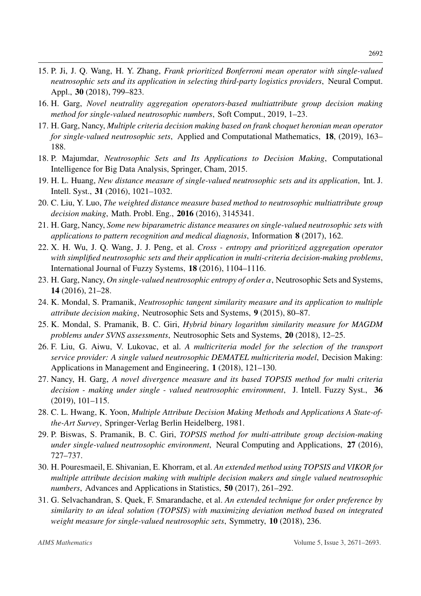- <span id="page-21-0"></span>15. P. Ji, J. Q. Wang, H. Y. Zhang, *Frank prioritized Bonferroni mean operator with single-valued neutrosophic sets and its application in selecting third-party logistics providers*, Neural Comput. Appl., 30 (2018), 799–823.
- <span id="page-21-1"></span>16. H. Garg, *Novel neutrality aggregation operators-based multiattribute group decision making method for single-valued neutrosophic numbers*, Soft Comput., 2019, 1–23.
- <span id="page-21-2"></span>17. H. Garg, Nancy, *Multiple criteria decision making based on frank choquet heronian mean operator for single-valued neutrosophic sets*, Applied and Computational Mathematics, 18, (2019), 163– 188.
- <span id="page-21-3"></span>18. P. Majumdar, *Neutrosophic Sets and Its Applications to Decision Making*, Computational Intelligence for Big Data Analysis, Springer, Cham, 2015.
- <span id="page-21-4"></span>19. H. L. Huang, *New distance measure of single-valued neutrosophic sets and its application*, Int. J. Intell. Syst., 31 (2016), 1021–1032.
- <span id="page-21-5"></span>20. C. Liu, Y. Luo, *The weighted distance measure based method to neutrosophic multiattribute group decision making*, Math. Probl. Eng., 2016 (2016), 3145341.
- <span id="page-21-6"></span>21. H. Garg, Nancy, *Some new biparametric distance measures on single-valued neutrosophic sets with applications to pattern recognition and medical diagnosis*, Information 8 (2017), 162.
- <span id="page-21-7"></span>22. X. H. Wu, J. Q. Wang, J. J. Peng, et al. *Cross - entropy and prioritized aggregation operator with simplified neutrosophic sets and their application in multi-criteria decision-making problems*, International Journal of Fuzzy Systems, 18 (2016), 1104–1116.
- <span id="page-21-8"></span>23. H. Garg, Nancy, *On single-valued neutrosophic entropy of order* α, Neutrosophic Sets and Systems, 14 (2016), 21–28.
- <span id="page-21-9"></span>24. K. Mondal, S. Pramanik, *Neutrosophic tangent similarity measure and its application to multiple attribute decision making*, Neutrosophic Sets and Systems, 9 (2015), 80–87.
- <span id="page-21-10"></span>25. K. Mondal, S. Pramanik, B. C. Giri, *Hybrid binary logarithm similarity measure for MAGDM problems under SVNS assessments*, Neutrosophic Sets and Systems, 20 (2018), 12–25.
- <span id="page-21-11"></span>26. F. Liu, G. Aiwu, V. Lukovac, et al. *A multicriteria model for the selection of the transport service provider: A single valued neutrosophic DEMATEL multicriteria model*, Decision Making: Applications in Management and Engineering, 1 (2018), 121–130.
- <span id="page-21-12"></span>27. Nancy, H. Garg, *A novel divergence measure and its based TOPSIS method for multi criteria decision - making under single - valued neutrosophic environment*, J. Intell. Fuzzy Syst., 36 (2019), 101–115.
- <span id="page-21-13"></span>28. C. L. Hwang, K. Yoon, *Multiple Attribute Decision Making Methods and Applications A State-ofthe-Art Survey*, Springer-Verlag Berlin Heidelberg, 1981.
- <span id="page-21-14"></span>29. P. Biswas, S. Pramanik, B. C. Giri, *TOPSIS method for multi-attribute group decision-making under single-valued neutrosophic environment*, Neural Computing and Applications, 27 (2016), 727–737.
- <span id="page-21-15"></span>30. H. Pouresmaeil, E. Shivanian, E. Khorram, et al. *An extended method using TOPSIS and VIKOR for multiple attribute decision making with multiple decision makers and single valued neutrosophic numbers*, Advances and Applications in Statistics, 50 (2017), 261–292.
- <span id="page-21-16"></span>31. G. Selvachandran, S. Quek, F. Smarandache, et al. *An extended technique for order preference by similarity to an ideal solution (TOPSIS) with maximizing deviation method based on integrated weight measure for single-valued neutrosophic sets*, Symmetry, 10 (2018), 236.

2692